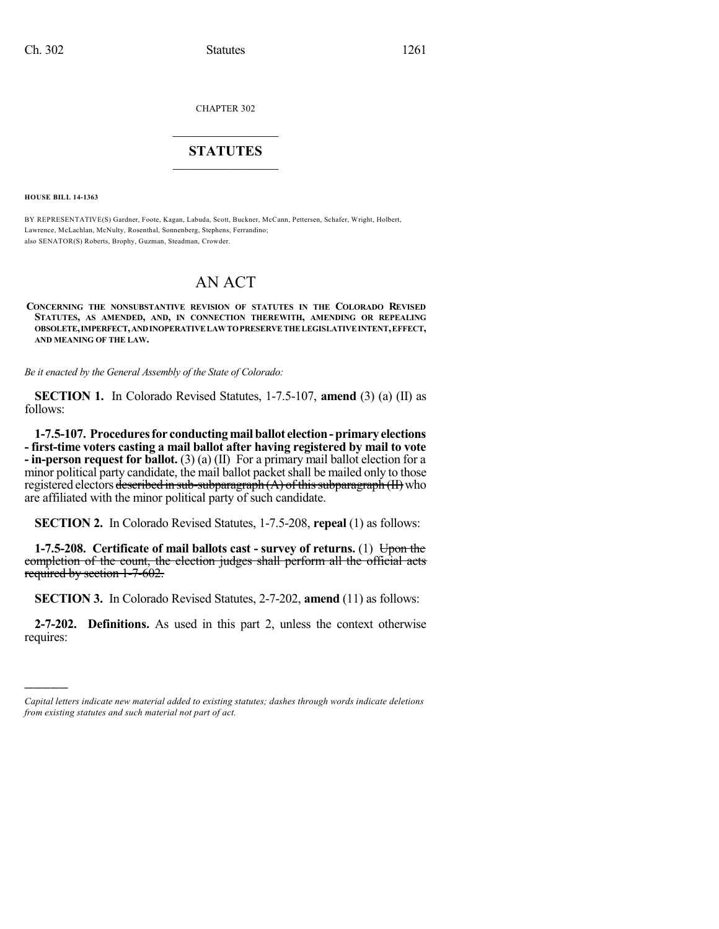CHAPTER 302

### $\overline{\phantom{a}}$  . The set of the set of the set of the set of the set of the set of the set of the set of the set of the set of the set of the set of the set of the set of the set of the set of the set of the set of the set o **STATUTES**  $\_$   $\_$

**HOUSE BILL 14-1363**

)))))

BY REPRESENTATIVE(S) Gardner, Foote, Kagan, Labuda, Scott, Buckner, McCann, Pettersen, Schafer, Wright, Holbert, Lawrence, McLachlan, McNulty, Rosenthal, Sonnenberg, Stephens, Ferrandino; also SENATOR(S) Roberts, Brophy, Guzman, Steadman, Crowder.

## AN ACT

### **CONCERNING THE NONSUBSTANTIVE REVISION OF STATUTES IN THE COLORADO REVISED STATUTES, AS AMENDED, AND, IN CONNECTION THEREWITH, AMENDING OR REPEALING OBSOLETE,IMPERFECT,ANDINOPERATIVELAWTOPRESERVETHELEGISLATIVEINTENT,EFFECT, AND MEANING OF THE LAW.**

*Be it enacted by the General Assembly of the State of Colorado:*

**SECTION 1.** In Colorado Revised Statutes, 1-7.5-107, **amend** (3) (a) (II) as follows:

**1-7.5-107. Proceduresfor conductingmailballot election-primaryelections - first-time voters casting a mail ballot after having registered by mail to vote - in-person request for ballot.** (3) (a) (II) For a primary mail ballot election for a minor political party candidate, the mail ballot packetshall be mailed only to those registered electors described in sub-subparagraph  $(A)$  of this subparagraph  $(II)$  who are affiliated with the minor political party of such candidate.

**SECTION 2.** In Colorado Revised Statutes, 1-7.5-208, **repeal** (1) as follows:

**1-7.5-208.** Certificate of mail ballots cast - survey of returns. (1) Upon the completion of the count, the election judges shall perform all the official acts required by section 1-7-602.

**SECTION 3.** In Colorado Revised Statutes, 2-7-202, **amend** (11) as follows:

**2-7-202. Definitions.** As used in this part 2, unless the context otherwise requires:

*Capital letters indicate new material added to existing statutes; dashes through words indicate deletions from existing statutes and such material not part of act.*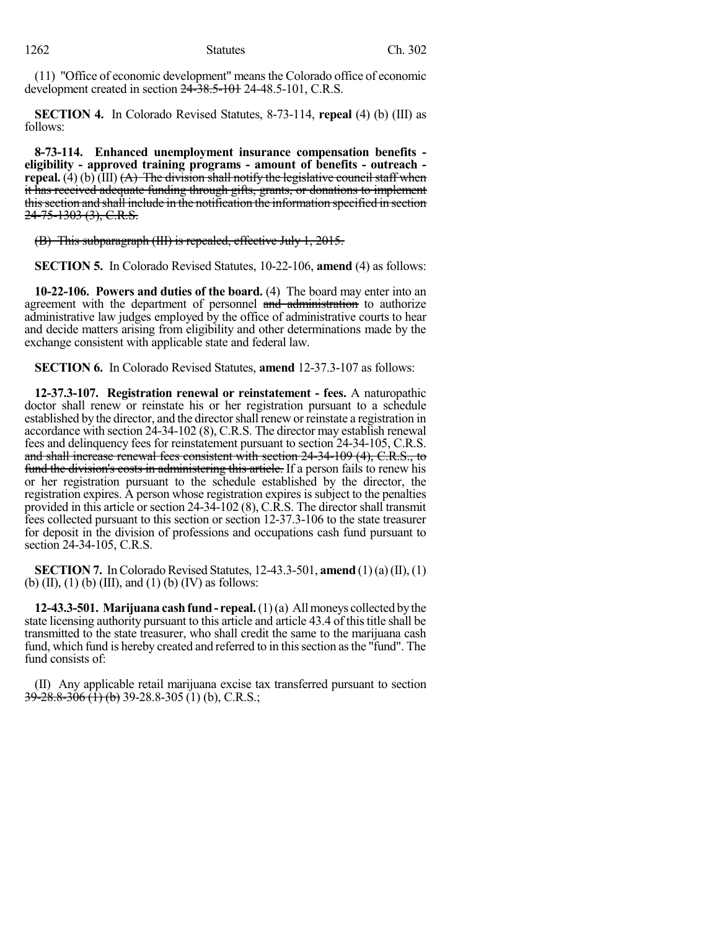(11) "Office of economic development" meansthe Colorado office of economic development created in section 24-38.5-101 24-48.5-101, C.R.S.

**SECTION 4.** In Colorado Revised Statutes, 8-73-114, **repeal** (4) (b) (III) as follows:

**8-73-114. Enhanced unemployment insurance compensation benefits eligibility - approved training programs - amount of benefits - outreach repeal.** (4) (b) (III)  $(A)$  The division shall notify the legislative council staff when it has received adequate funding through gifts, grants, or donations to implement this section and shall include in the notification the information specified in section 24-75-1303 (3), C.R.S.

(B) This subparagraph (III) is repealed, effective July 1, 2015.

**SECTION 5.** In Colorado Revised Statutes, 10-22-106, **amend** (4) as follows:

**10-22-106. Powers and duties of the board.** (4) The board may enter into an agreement with the department of personnel and administration to authorize administrative law judges employed by the office of administrative courts to hear and decide matters arising from eligibility and other determinations made by the exchange consistent with applicable state and federal law.

**SECTION 6.** In Colorado Revised Statutes, **amend** 12-37.3-107 as follows:

**12-37.3-107. Registration renewal or reinstatement - fees.** A naturopathic doctor shall renew or reinstate his or her registration pursuant to a schedule established by the director, and the director shall renew or reinstate a registration in accordance with section 24-34-102 (8), C.R.S. The director may establish renewal fees and delinquency fees for reinstatement pursuant to section 24-34-105, C.R.S. and shall increase renewal fees consistent with section 24-34-109 (4), C.R.S., to fund the division's costs in administering this article. If a person fails to renew his or her registration pursuant to the schedule established by the director, the registration expires. A person whose registration expires is subject to the penalties provided in this article or section  $24-34-102$  (8), C.R.S. The director shall transmit fees collected pursuant to this section or section 12-37.3-106 to the state treasurer for deposit in the division of professions and occupations cash fund pursuant to section 24-34-105, C.R.S.

**SECTION 7.** In Colorado Revised Statutes,  $12-43.3-501$ , **amend**  $(1)(a)(II), (1)$ (b) (II), (1) (b) (III), and (1) (b) (IV) as follows:

**12-43.3-501. Marijuana cash fund - repeal.**  $(1)(a)$  All moneys collected by the state licensing authority pursuant to this article and article 43.4 of this title shall be transmitted to the state treasurer, who shall credit the same to the marijuana cash fund, which fund is hereby created and referred to in this section as the "fund". The fund consists of:

(II) Any applicable retail marijuana excise tax transferred pursuant to section  $39-28.8-306$  (1) (b) 39-28.8-305 (1) (b), C.R.S.;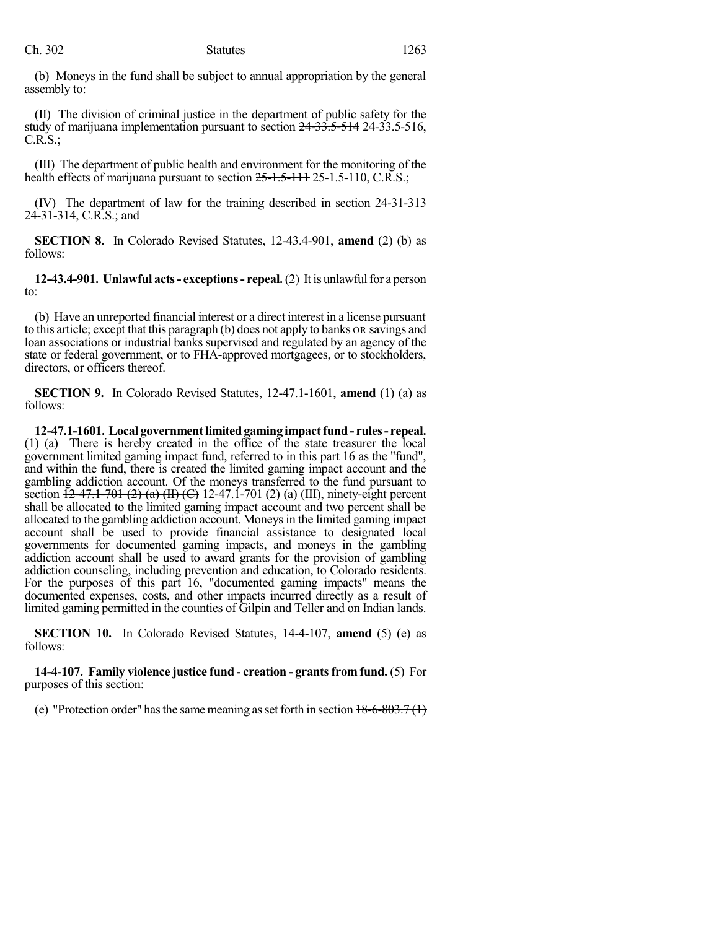(b) Moneys in the fund shall be subject to annual appropriation by the general assembly to:

(II) The division of criminal justice in the department of public safety for the study of marijuana implementation pursuant to section 24-33.5-514 24-33.5-516, C.R.S.;

(III) The department of public health and environment for the monitoring of the health effects of marijuana pursuant to section 25-1.5-111 25-1.5-110, C.R.S.;

(IV) The department of law for the training described in section 24-31-313 24-31-314, C.R.S.; and

**SECTION 8.** In Colorado Revised Statutes, 12-43.4-901, **amend** (2) (b) as follows:

**12-43.4-901. Unlawful acts- exceptions- repeal.**(2) It is unlawfulfor a person to:

(b) Have an unreported financial interest or a direct interest in a license pursuant to this article; except that this paragraph (b) does not apply to banks OR savings and loan associations or industrial banks supervised and regulated by an agency of the state or federal government, or to FHA-approved mortgagees, or to stockholders, directors, or officers thereof.

**SECTION 9.** In Colorado Revised Statutes, 12-47.1-1601, **amend** (1) (a) as follows:

**12-47.1-1601. Local governmentlimitedgaming impactfund - rules- repeal.** (1) (a) There is hereby created in the office of the state treasurer the local government limited gaming impact fund, referred to in this part 16 as the "fund", and within the fund, there is created the limited gaming impact account and the gambling addiction account. Of the moneys transferred to the fund pursuant to section  $+2-47.1-701 (2) (a) (II) (C) 12-47.1-701 (2) (a) (III)$ , ninety-eight percent shall be allocated to the limited gaming impact account and two percent shall be allocated to the gambling addiction account. Moneysin the limited gaming impact account shall be used to provide financial assistance to designated local governments for documented gaming impacts, and moneys in the gambling addiction account shall be used to award grants for the provision of gambling addiction counseling, including prevention and education, to Colorado residents. For the purposes of this part 16, "documented gaming impacts" means the documented expenses, costs, and other impacts incurred directly as a result of limited gaming permitted in the counties of Gilpin and Teller and on Indian lands.

**SECTION 10.** In Colorado Revised Statutes, 14-4-107, **amend** (5) (e) as follows:

**14-4-107. Family violence justice fund - creation - grantsfromfund.** (5) For purposes of this section:

(e) "Protection order" has the same meaning as set forth in section  $18-6-803.7(1)$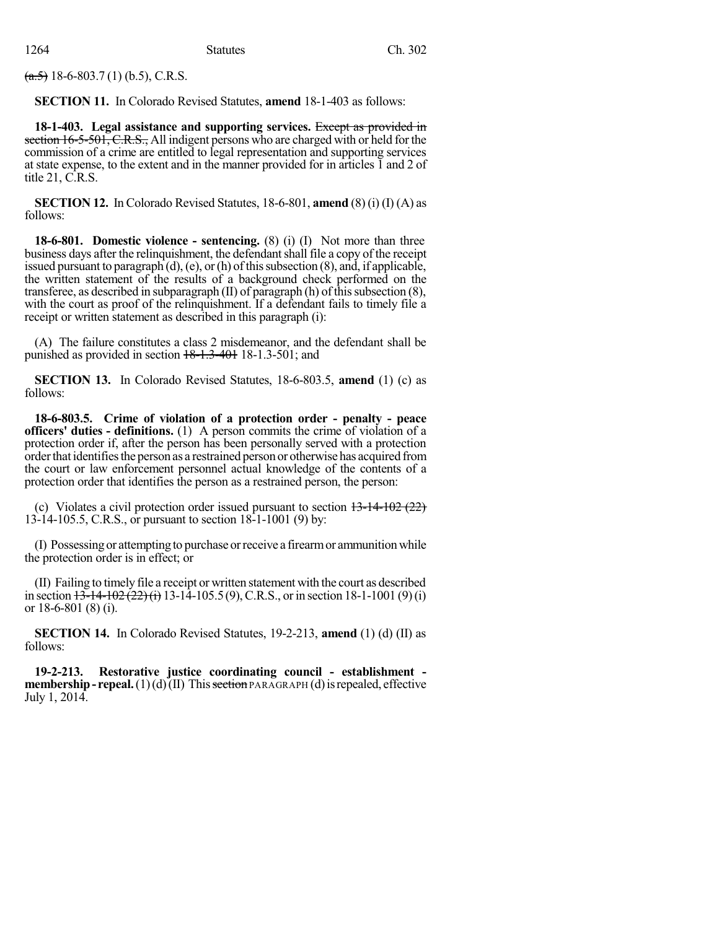$(a.5)$  18-6-803.7(1) (b.5), C.R.S.

**SECTION 11.** In Colorado Revised Statutes, **amend** 18-1-403 as follows:

**18-1-403. Legal assistance and supporting services.** Except as provided in section 16-5-501, C.R.S., All indigent persons who are charged with or held for the commission of a crime are entitled to legal representation and supporting services at state expense, to the extent and in the manner provided for in articles 1 and 2 of title 21, C.R.S.

**SECTION 12.** In Colorado Revised Statutes, 18-6-801, **amend** (8) (i) (I) (A) as follows:

**18-6-801. Domestic violence - sentencing.** (8) (i) (I) Not more than three business days after the relinquishment, the defendant shall file a copy of the receipt issued pursuant to paragraph  $(d)$ ,  $(e)$ , or  $(h)$  of this subsection  $(8)$ , and, if applicable, the written statement of the results of a background check performed on the transferee, as described in subparagraph  $(II)$  of paragraph  $(h)$  of this subsection  $(8)$ , with the court as proof of the relinquishment. If a defendant fails to timely file a receipt or written statement as described in this paragraph (i):

(A) The failure constitutes a class 2 misdemeanor, and the defendant shall be punished as provided in section 18-1.3-401 18-1.3-501; and

**SECTION 13.** In Colorado Revised Statutes, 18-6-803.5, **amend** (1) (c) as follows:

**18-6-803.5. Crime of violation of a protection order - penalty - peace officers' duties - definitions.** (1) A person commits the crime of violation of a protection order if, after the person has been personally served with a protection order that identifies the person as a restrained person or otherwise has acquired from the court or law enforcement personnel actual knowledge of the contents of a protection order that identifies the person as a restrained person, the person:

(c) Violates a civil protection order issued pursuant to section  $13-14-102(22)$ 13-14-105.5, C.R.S., or pursuant to section 18-1-1001 (9) by:

(I) Possessing or attemptingto purchase orreceive a firearmor ammunitionwhile the protection order is in effect; or

(II) Failing to timely file a receipt or written statement with the court as described in section  $13\overline{-14-102(22)(i)}$  13-14-105.5(9), C.R.S., or in section 18-1-1001(9)(i) or 18-6-801 (8) (i).

**SECTION 14.** In Colorado Revised Statutes, 19-2-213, **amend** (1) (d) (II) as follows:

**19-2-213. Restorative justice coordinating council - establishment membership-repeal.**(1)(d)(II) This section PARAGRAPH (d) is repealed, effective July 1, 2014.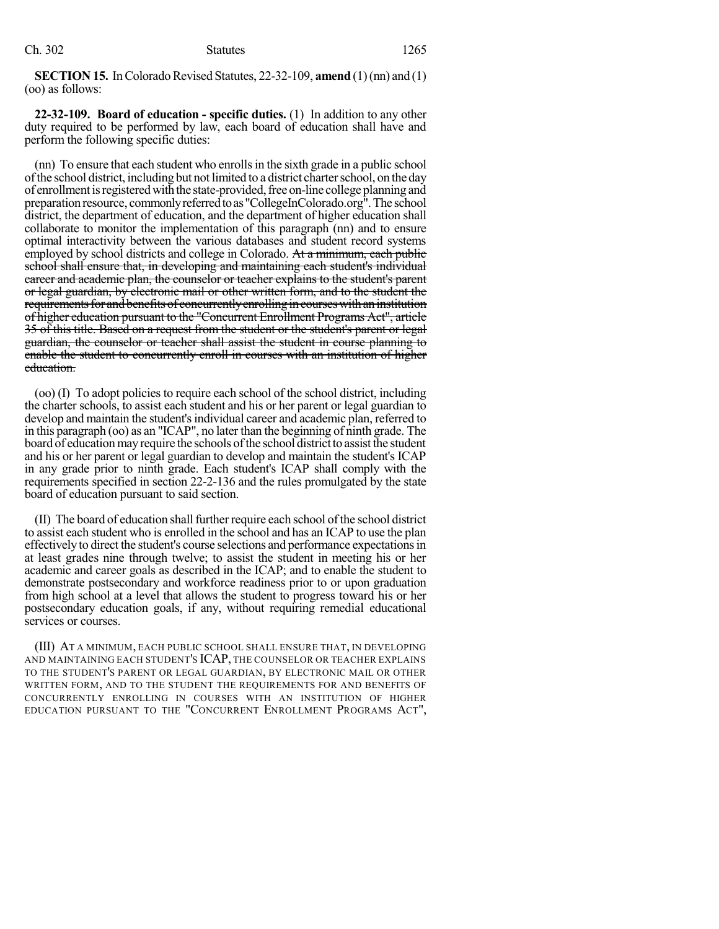**SECTION 15.** In Colorado Revised Statutes, 22-32-109, **amend** (1)(nn) and (1) (oo) as follows:

**22-32-109. Board of education - specific duties.** (1) In addition to any other duty required to be performed by law, each board of education shall have and perform the following specific duties:

(nn) To ensure that each student who enrollsin the sixth grade in a public school ofthe school district, including but not limited to a district charterschool, on the day of enrollment is registered with the state-provided, free on-line college planning and preparation resource, commonly referred to as "CollegeInColorado.org". The school district, the department of education, and the department of higher education shall collaborate to monitor the implementation of this paragraph (nn) and to ensure optimal interactivity between the various databases and student record systems employed by school districts and college in Colorado. At a minimum, each public school shall ensure that, in developing and maintaining each student's individual career and academic plan, the counselor or teacher explains to the student's parent or legal guardian, by electronic mail or other written form, and to the student the requirements for and benefits of concurrently enrolling in courses with an institution of higher education pursuant to the "Concurrent Enrollment Programs Act", article 35 of this title. Based on a request from the student or the student's parent or legal guardian, the counselor or teacher shall assist the student in course planning to enable the student to concurrently enroll in courses with an institution of higher education.

(oo) (I) To adopt policies to require each school of the school district, including the charter schools, to assist each student and his or her parent or legal guardian to develop and maintain the student's individual career and academic plan, referred to in this paragraph (oo) as an "ICAP", no later than the beginning of ninth grade. The board of education may require the schools of the school district to assist the student and his or her parent or legal guardian to develop and maintain the student's ICAP in any grade prior to ninth grade. Each student's ICAP shall comply with the requirements specified in section 22-2-136 and the rules promulgated by the state board of education pursuant to said section.

(II) The board of education shallfurtherrequire each school ofthe school district to assist each student who is enrolled in the school and has an ICAP to use the plan effectively to direct the student's course selections and performance expectations in at least grades nine through twelve; to assist the student in meeting his or her academic and career goals as described in the ICAP; and to enable the student to demonstrate postsecondary and workforce readiness prior to or upon graduation from high school at a level that allows the student to progress toward his or her postsecondary education goals, if any, without requiring remedial educational services or courses.

(III) AT A MINIMUM, EACH PUBLIC SCHOOL SHALL ENSURE THAT, IN DEVELOPING AND MAINTAINING EACH STUDENT'S ICAP, THE COUNSELOR OR TEACHER EXPLAINS TO THE STUDENT'S PARENT OR LEGAL GUARDIAN, BY ELECTRONIC MAIL OR OTHER WRITTEN FORM, AND TO THE STUDENT THE REQUIREMENTS FOR AND BENEFITS OF CONCURRENTLY ENROLLING IN COURSES WITH AN INSTITUTION OF HIGHER EDUCATION PURSUANT TO THE "CONCURRENT ENROLLMENT PROGRAMS ACT",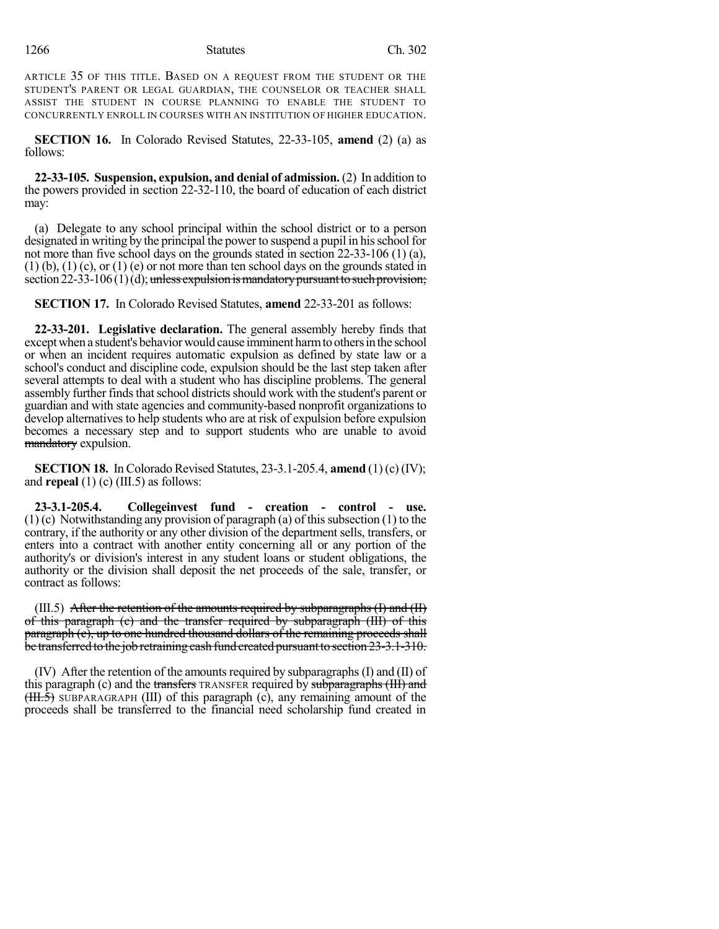ARTICLE 35 OF THIS TITLE. BASED ON A REQUEST FROM THE STUDENT OR THE STUDENT'S PARENT OR LEGAL GUARDIAN, THE COUNSELOR OR TEACHER SHALL ASSIST THE STUDENT IN COURSE PLANNING TO ENABLE THE STUDENT TO CONCURRENTLY ENROLL IN COURSES WITH AN INSTITUTION OF HIGHER EDUCATION.

**SECTION 16.** In Colorado Revised Statutes, 22-33-105, **amend** (2) (a) as follows:

**22-33-105. Suspension, expulsion, and denial of admission.** (2) In addition to the powers provided in section 22-32-110, the board of education of each district may:

(a) Delegate to any school principal within the school district or to a person designated in writing by the principal the power to suspend a pupil in hisschool for not more than five school days on the grounds stated in section 22-33-106 (1) (a),  $(1)$  (b),  $(1)$  (c), or  $(1)$  (e) or not more than ten school days on the grounds stated in section  $22-33-106(1)(d)$ ; unless expulsion is mandatory pursuant to such provision;

**SECTION 17.** In Colorado Revised Statutes, **amend** 22-33-201 as follows:

**22-33-201. Legislative declaration.** The general assembly hereby finds that except when a student's behavior would cause imminent harm to others in the school or when an incident requires automatic expulsion as defined by state law or a school's conduct and discipline code, expulsion should be the last step taken after several attempts to deal with a student who has discipline problems. The general assembly further finds that school districts should work with the student's parent or guardian and with state agencies and community-based nonprofit organizations to develop alternatives to help students who are at risk of expulsion before expulsion becomes a necessary step and to support students who are unable to avoid mandatory expulsion.

**SECTION 18.** In Colorado Revised Statutes, 23-3.1-205.4, **amend** (1) (c) (IV); and **repeal** (1) (c) (III.5) as follows:

**23-3.1-205.4. Collegeinvest fund - creation - control - use.**  $(1)$  (c) Notwithstanding any provision of paragraph (a) of this subsection  $(1)$  to the contrary, if the authority or any other division of the department sells, transfers, or enters into a contract with another entity concerning all or any portion of the authority's or division's interest in any student loans or student obligations, the authority or the division shall deposit the net proceeds of the sale, transfer, or contract as follows:

 $(III.5)$  After the retention of the amounts required by subparagraphs  $(I)$  and  $(II)$ of this paragraph (c) and the transfer required by subparagraph (III) of this paragraph (c), up to one hundred thousand dollars of the remaining proceeds shall be transferred to the job retraining cash fund created pursuant to section 23-3.1-310.

 $(IV)$  After the retention of the amounts required by subparagraphs  $(I)$  and  $(II)$  of this paragraph (c) and the transfers TRANSFER required by subparagraphs (III) and  $(HH.\overline{5})$  SUBPARAGRAPH (III) of this paragraph (c), any remaining amount of the proceeds shall be transferred to the financial need scholarship fund created in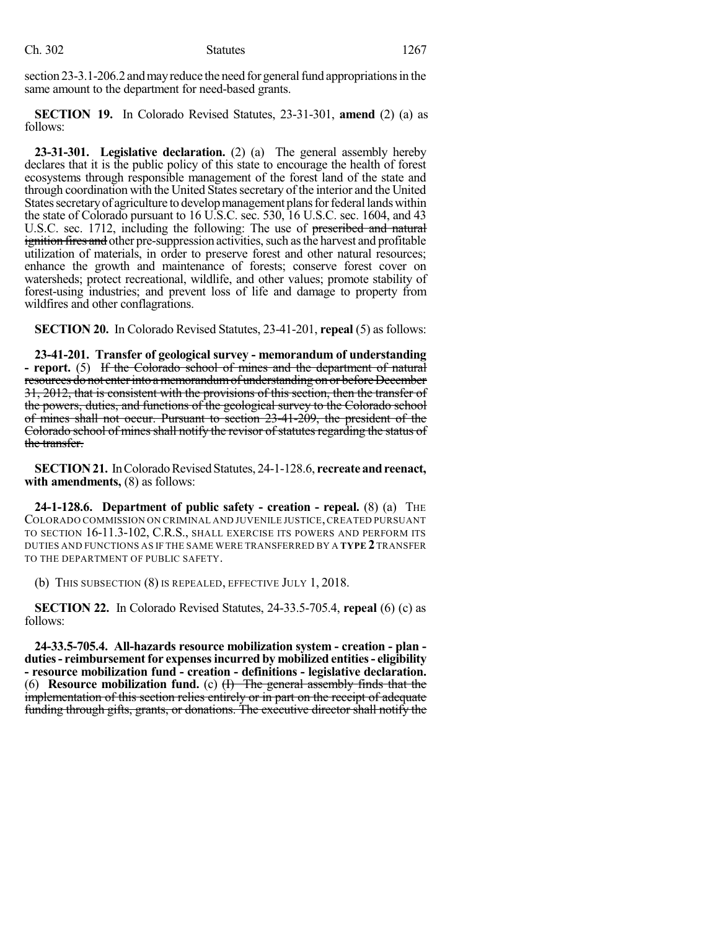section 23-3.1-206.2 and may reduce the need for general fund appropriations in the same amount to the department for need-based grants.

**SECTION 19.** In Colorado Revised Statutes, 23-31-301, **amend** (2) (a) as follows:

**23-31-301. Legislative declaration.** (2) (a) The general assembly hereby declares that it is the public policy of this state to encourage the health of forest ecosystems through responsible management of the forest land of the state and through coordination with the United States secretary of the interior and the United States secretary of agriculture to develop management plans for federal lands within the state of Colorado pursuant to 16 U.S.C. sec. 530, 16 U.S.C. sec. 1604, and 43 U.S.C. sec. 1712, including the following: The use of prescribed and natural ignition fires and other pre-suppression activities, such as the harvest and profitable utilization of materials, in order to preserve forest and other natural resources; enhance the growth and maintenance of forests; conserve forest cover on watersheds; protect recreational, wildlife, and other values; promote stability of forest-using industries; and prevent loss of life and damage to property from wildfires and other conflagrations.

**SECTION 20.** In Colorado Revised Statutes, 23-41-201, **repeal** (5) as follows:

**23-41-201. Transfer of geological survey - memorandum of understanding - report.** (5) If the Colorado school of mines and the department of natural resources do not enter into a memorandum of understanding on or before December 31, 2012, that is consistent with the provisions of this section, then the transfer of the powers, duties, and functions of the geological survey to the Colorado school of mines shall not occur. Pursuant to section 23-41-209, the president of the Colorado school of mines shall notify the revisor of statutes regarding the status of the transfer.

**SECTION 21.** In Colorado Revised Statutes, 24-1-128.6, recreate and reenact, **with amendments,** (8) as follows:

**24-1-128.6. Department of public safety - creation - repeal.** (8) (a) THE COLORADO COMMISSION ON CRIMINAL AND JUVENILE JUSTICE,CREATED PURSUANT TO SECTION 16-11.3-102, C.R.S., SHALL EXERCISE ITS POWERS AND PERFORM ITS DUTIES AND FUNCTIONS AS IF THE SAME WERE TRANSFERRED BY A **TYPE 2**TRANSFER TO THE DEPARTMENT OF PUBLIC SAFETY.

(b) THIS SUBSECTION (8) IS REPEALED, EFFECTIVE JULY 1, 2018.

**SECTION 22.** In Colorado Revised Statutes, 24-33.5-705.4, **repeal** (6) (c) as follows:

**24-33.5-705.4. All-hazards resource mobilization system - creation - plan duties- reimbursementfor expensesincurred by mobilized entities- eligibility - resource mobilization fund - creation - definitions - legislative declaration.** (6) **Resource mobilization fund.** (c) (I) The general assembly finds that the implementation of this section relies entirely or in part on the receipt of adequate funding through gifts, grants, or donations. The executive director shall notify the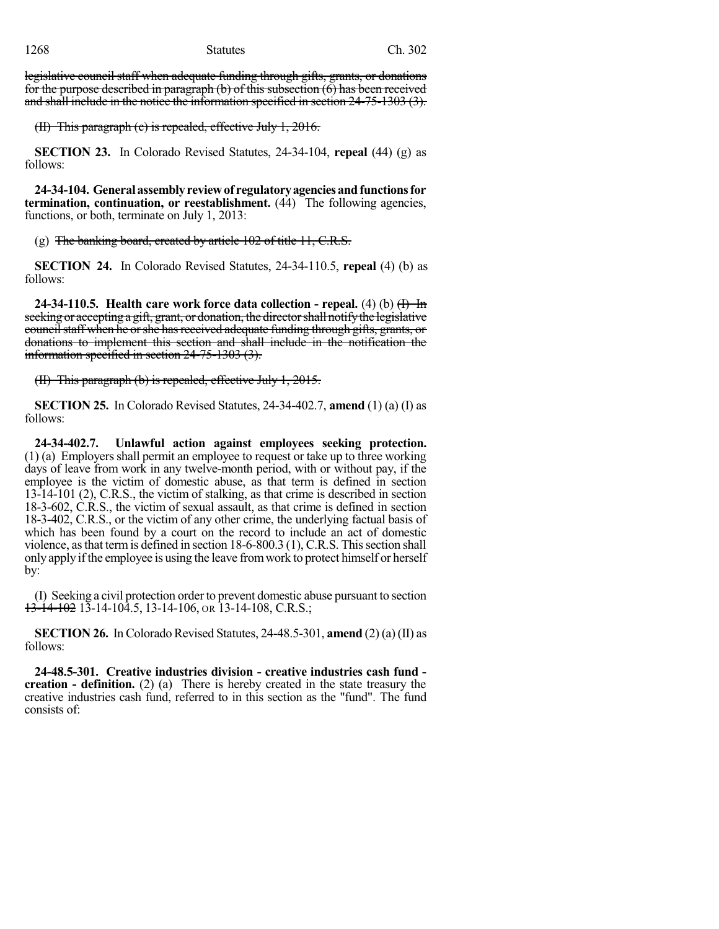legislative council staff when adequate funding through gifts, grants, or donations for the purpose described in paragraph (b) of this subsection (6) has been received and shall include in the notice the information specified in section 24-75-1303 (3).

(II) This paragraph (c) is repealed, effective July 1, 2016.

**SECTION 23.** In Colorado Revised Statutes, 24-34-104, **repeal** (44) (g) as follows:

**24-34-104. Generalassemblyreviewof regulatoryagenciesandfunctionsfor termination, continuation, or reestablishment.** (44) The following agencies, functions, or both, terminate on July 1, 2013:

 $(g)$  The banking board, created by article 102 of title 11, C.R.S.

**SECTION 24.** In Colorado Revised Statutes, 24-34-110.5, **repeal** (4) (b) as follows:

**24-34-110.5. Health care work force data collection - repeal.** (4) (b) (I) In seeking or accepting a gift, grant, or donation, the director shall notify the legislative council staff when he or she has received adequate funding through gifts, grants, or donations to implement this section and shall include in the notification the information specified in section 24-75-1303 (3).

(II) This paragraph (b) is repealed, effective July 1, 2015.

**SECTION 25.** In Colorado Revised Statutes, 24-34-402.7, **amend** (1) (a) (I) as follows:

**24-34-402.7. Unlawful action against employees seeking protection.** (1) (a) Employers shall permit an employee to request or take up to three working days of leave from work in any twelve-month period, with or without pay, if the employee is the victim of domestic abuse, as that term is defined in section 13-14-101 (2), C.R.S., the victim of stalking, as that crime is described in section 18-3-602, C.R.S., the victim of sexual assault, as that crime is defined in section 18-3-402, C.R.S., or the victim of any other crime, the underlying factual basis of which has been found by a court on the record to include an act of domestic violence, as that term is defined in section  $18-6-800.3$  (1), C.R.S. This section shall only apply ifthe employee is using the leave fromwork to protect himself or herself by:

(I) Seeking a civil protection orderto prevent domestic abuse pursuant to section  $13-14-102$  13-14-104.5, 13-14-106, or 13-14-108, C.R.S.;

**SECTION 26.** In Colorado Revised Statutes, 24-48.5-301, **amend** (2) (a) (II) as follows:

**24-48.5-301. Creative industries division - creative industries cash fund creation - definition.** (2) (a) There is hereby created in the state treasury the creative industries cash fund, referred to in this section as the "fund". The fund consists of: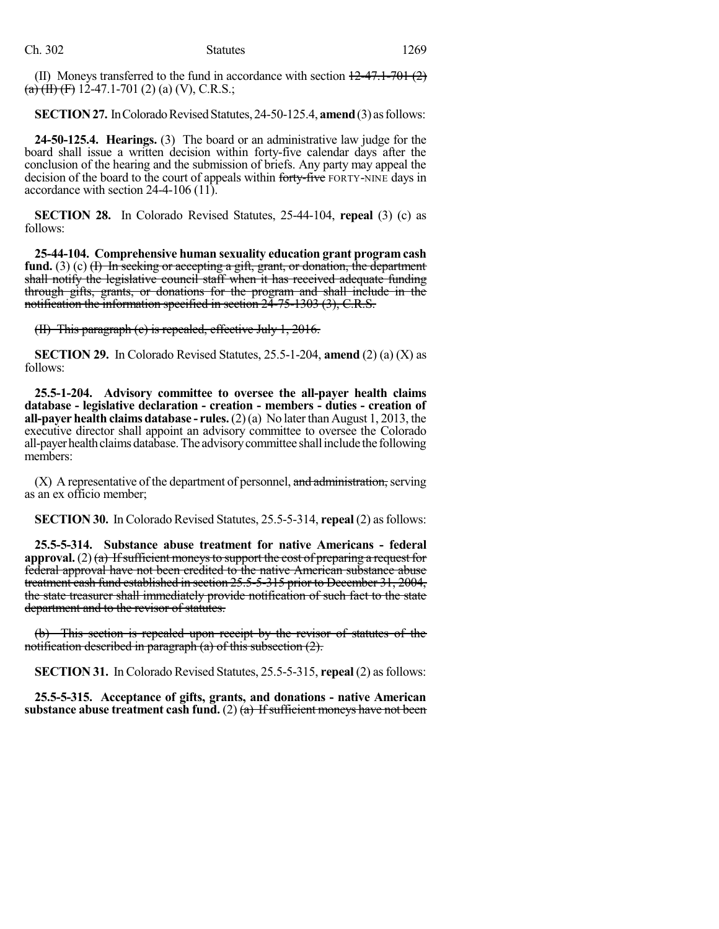(II) Moneys transferred to the fund in accordance with section  $12-47.1-701(2)$  $(a)$  (H) (F) 12-47.1-701 (2) (a) (V), C.R.S.;

**SECTION 27.** In Colorado Revised Statutes, 24-50-125.4, **amend** (3) as follows:

**24-50-125.4. Hearings.** (3) The board or an administrative law judge for the board shall issue a written decision within forty-five calendar days after the conclusion of the hearing and the submission of briefs. Any party may appeal the decision of the board to the court of appeals within forty-five FORTY-NINE days in accordance with section 24-4-106 (11).

**SECTION 28.** In Colorado Revised Statutes, 25-44-104, **repeal** (3) (c) as follows:

**25-44-104. Comprehensive human sexuality education grant program cash** fund. (3) (c) <del>(I) In seeking or accepting a gift, grant, or donation, the department</del> shall notify the legislative council staff when it has received adequate funding through gifts, grants, or donations for the program and shall include in the notification the information specified in section 24-75-1303 (3), C.R.S.

(II) This paragraph (c) is repealed, effective July 1, 2016.

**SECTION 29.** In Colorado Revised Statutes, 25.5-1-204, **amend** (2) (a) (X) as follows:

**25.5-1-204. Advisory committee to oversee the all-payer health claims database - legislative declaration - creation - members - duties - creation of all-payer health claims database - rules.**(2)(a) No laterthan August 1, 2013, the executive director shall appoint an advisory committee to oversee the Colorado all-payer health claims database. The advisory committee shall include the following members:

 $(X)$  A representative of the department of personnel, and administration, serving as an ex officio member;

**SECTION 30.** In Colorado Revised Statutes, 25.5-5-314, **repeal** (2) as follows:

**25.5-5-314. Substance abuse treatment for native Americans - federal approval.** (2) (a) If sufficient moneys to support the cost of preparing a request for federal approval have not been credited to the native American substance abuse treatment cash fund established in section 25.5-5-315 prior to December 31, 2004, the state treasurer shall immediately provide notification of such fact to the state department and to the revisor of statutes.

(b) This section is repealed upon receipt by the revisor of statutes of the notification described in paragraph  $(a)$  of this subsection  $(2)$ .

**SECTION 31.** In Colorado Revised Statutes, 25.5-5-315, **repeal** (2) as follows:

**25.5-5-315. Acceptance of gifts, grants, and donations - native American substance** abuse **treatment cash fund.** (2)  $(a)$  If sufficient moneys have not been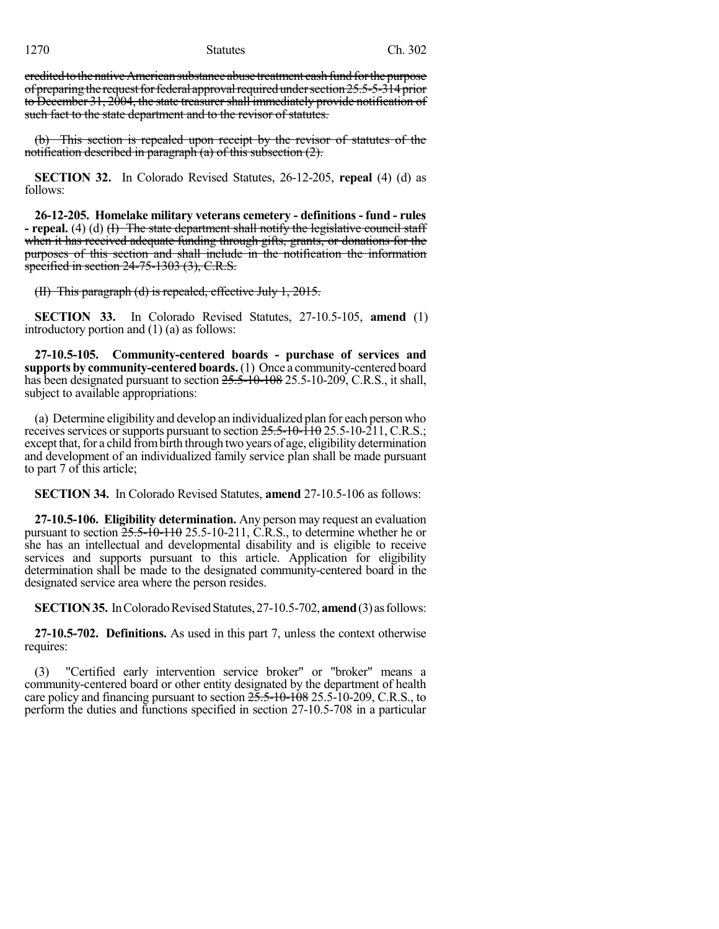credited to the native American substance abuse treatment cash fund for the purpose of preparing the request for federal approval required under section  $25.5-5-314$  prior to December 31, 2004, the state treasurer shall immediately provide notification of such fact to the state department and to the revisor of statutes.

(b) This section is repealed upon receipt by the revisor of statutes of the notification described in paragraph (a) of this subsection  $(2)$ .

**SECTION 32.** In Colorado Revised Statutes, 26-12-205, **repeal** (4) (d) as follows:

**26-12-205. Homelake military veterans cemetery - definitions - fund - rules - repeal.** (4) (d) (I) The state department shall notify the legislative council staff when it has received adequate funding through gifts, grants, or donations for the purposes of this section and shall include in the notification the information specified in section 24-75-1303 (3), C.R.S.

(II) This paragraph (d) is repealed, effective July 1, 2015.

**SECTION 33.** In Colorado Revised Statutes, 27-10.5-105, **amend** (1) introductory portion and (1) (a) as follows:

**27-10.5-105. Community-centered boards - purchase of services and supports by community-centered boards.**(1) Once a community-centered board has been designated pursuant to section  $25.5$ -10-108 25.5-10-209, C.R.S., it shall, subject to available appropriations:

(a) Determine eligibility and develop an individualized plan for each person who receives services or supports pursuant to section  $25.5$ -10- $\overline{110}$  25.5-10- $\overline{211}$ , C.R.S.; except that, for a child from birth through two years of age, eligibility determination and development of an individualized family service plan shall be made pursuant to part 7 of this article;

**SECTION 34.** In Colorado Revised Statutes, **amend** 27-10.5-106 as follows:

**27-10.5-106. Eligibility determination.** Any person may request an evaluation pursuant to section  $25.5-\dot{10}-110$  25.5-10-211, C.R.S., to determine whether he or she has an intellectual and developmental disability and is eligible to receive services and supports pursuant to this article. Application for eligibility determination shall be made to the designated community-centered board in the designated service area where the person resides.

**SECTION 35.** In Colorado Revised Statutes, 27-10.5-702, **amend** (3) as follows:

**27-10.5-702. Definitions.** As used in this part 7, unless the context otherwise requires:

(3) "Certified early intervention service broker" or "broker" means a community-centered board or other entity designated by the department of health care policy and financing pursuant to section  $2\overline{5}$ .  $5\overline{-10}$  +  $10\overline{8}$  25.5 $\overline{-10}$  -209, C.R.S., to perform the duties and functions specified in section 27-10.5-708 in a particular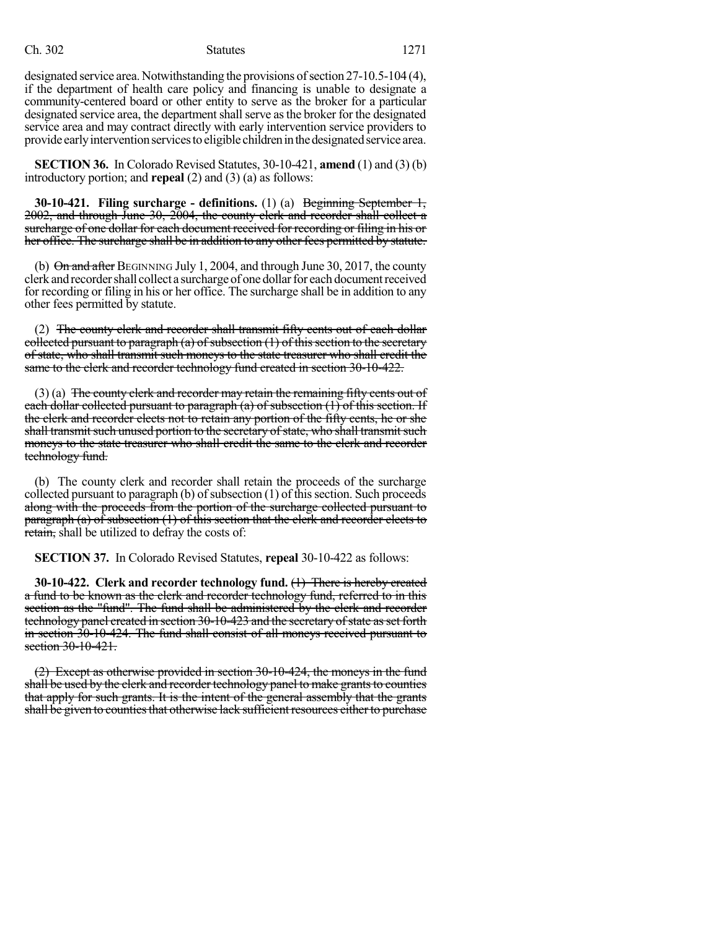### Ch. 302 Statutes 1271

designated service area. Notwithstanding the provisions of section  $27-10.5-104$  (4), if the department of health care policy and financing is unable to designate a community-centered board or other entity to serve as the broker for a particular designated service area, the department shall serve as the broker for the designated service area and may contract directly with early intervention service providers to provide early intervention services to eligible children in the designated service area.

**SECTION 36.** In Colorado Revised Statutes, 30-10-421, **amend** (1) and (3) (b) introductory portion; and **repeal** (2) and (3) (a) as follows:

**30-10-421. Filing surcharge - definitions.** (1) (a) Beginning September 1, 2002, and through June 30, 2004, the county clerk and recorder shall collect a surcharge of one dollar for each document received for recording or filing in his or her office. The surcharge shall be in addition to any other fees permitted by statute.

(b)  $\Theta$ n and after BEGINNING July 1, 2004, and through June 30, 2017, the county clerk and recorder shall collect a surcharge of one dollar for each document received for recording or filing in his or her office. The surcharge shall be in addition to any other fees permitted by statute.

(2) The county clerk and recorder shall transmit fifty cents out of each dollar collected pursuant to paragraph  $(a)$  of subsection  $(1)$  of this section to the secretary of state, who shall transmit such moneys to the state treasurer who shall credit the same to the clerk and recorder technology fund created in section 30-10-422.

 $(3)$  (a) The county clerk and recorder may retain the remaining fifty cents out of each dollar collected pursuant to paragraph (a) of subsection (1) of this section. If the clerk and recorder elects not to retain any portion of the fifty cents, he or she shall transmit such unused portion to the secretary of state, who shall transmit such moneys to the state treasurer who shall credit the same to the clerk and recorder technology fund.

(b) The county clerk and recorder shall retain the proceeds of the surcharge collected pursuant to paragraph  $(b)$  of subsection  $(1)$  of this section. Such proceeds along with the proceeds from the portion of the surcharge collected pursuant to paragraph (a) of subsection (1) of this section that the clerk and recorder elects to retain, shall be utilized to defray the costs of:

**SECTION 37.** In Colorado Revised Statutes, **repeal** 30-10-422 as follows:

**30-10-422. Clerk and recorder technology fund.** (1) There is hereby created a fund to be known as the clerk and recorder technology fund, referred to in this section as the "fund". The fund shall be administered by the clerk and recorder technology panel created in section 30-10-423 and the secretary of state as set forth in section 30-10-424. The fund shall consist of all moneys received pursuant to section 30-10-421.

(2) Except as otherwise provided in section 30-10-424, the moneys in the fund shall be used by the clerk and recorder technology panel to make grants to counties that apply for such grants. It is the intent of the general assembly that the grants shall be given to counties that otherwise lack sufficient resources either to purchase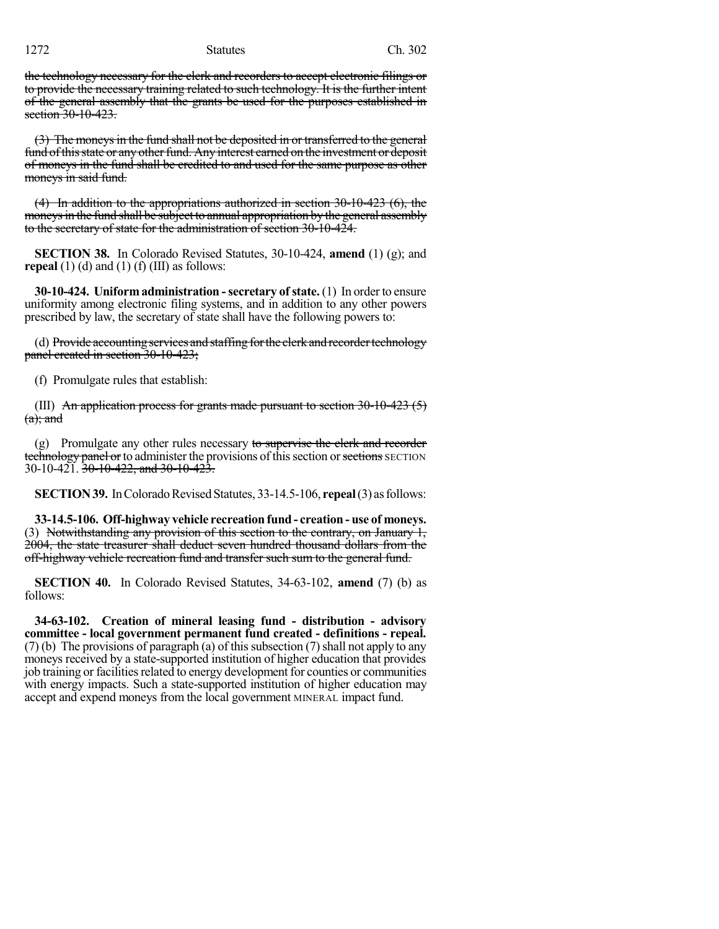the technology necessary for the clerk and recorders to accept electronic filings or to provide the necessary training related to such technology. It is the further intent of the general assembly that the grants be used for the purposes established in section 30-10-423.

(3) The moneysin the fund shall not be deposited in or transferred to the general fund of this state or any other fund. Any interest earned on the investment or deposit of moneys in the fund shall be credited to and used for the same purpose as other moneys in said fund.

 $(4)$  In addition to the appropriations authorized in section 30-10-423  $(6)$ , the moneys in the fund shall be subject to annual appropriation by the general assembly to the secretary of state for the administration of section 30-10-424.

**SECTION 38.** In Colorado Revised Statutes, 30-10-424, **amend** (1) (g); and **repeal** (1) (d) and (1) (f) (III) as follows:

**30-10-424. Uniformadministration -secretary ofstate.** (1) In order to ensure uniformity among electronic filing systems, and in addition to any other powers prescribed by law, the secretary of state shall have the following powers to:

(d) Provide accounting services and staffing for the clerk and recorder technology panel created in section 30-10-423;

(f) Promulgate rules that establish:

(III) An application process for grants made pursuant to section  $30-10-423(5)$  $(a);$  and

(g) Promulgate any other rules necessary to supervise the clerk and recorder technology panel or to administer the provisions of this section or sections SECTION 30-10-421. 30-10-422, and 30-10-423.

**SECTION 39.** In Colorado Revised Statutes, 33-14.5-106, **repeal** (3) as follows:

**33-14.5-106. Off-highway vehicle recreation fund - creation - use of moneys.** (3) Notwithstanding any provision of this section to the contrary, on January  $1$ , 2004, the state treasurer shall deduct seven hundred thousand dollars from the off-highway vehicle recreation fund and transfer such sum to the general fund.

**SECTION 40.** In Colorado Revised Statutes, 34-63-102, **amend** (7) (b) as follows:

**34-63-102. Creation of mineral leasing fund - distribution - advisory committee - local government permanent fund created - definitions - repeal.** (7) (b) The provisions of paragraph (a) of this subsection (7) shall not apply to any moneys received by a state-supported institution of higher education that provides job training or facilities related to energy development for counties or communities with energy impacts. Such a state-supported institution of higher education may accept and expend moneys from the local government MINERAL impact fund.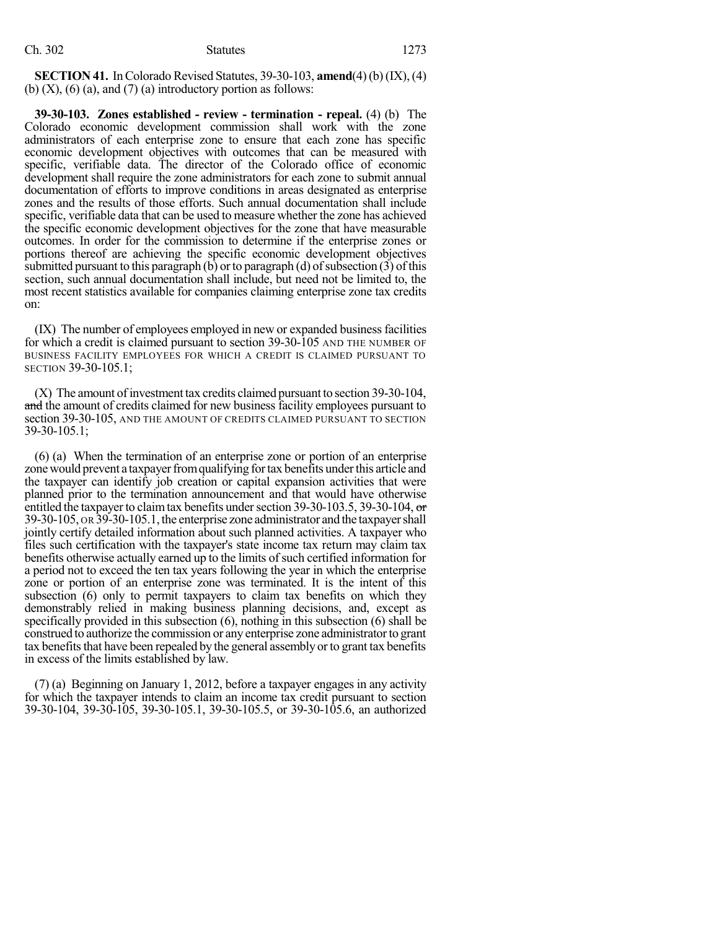**SECTION 41.** In Colorado Revised Statutes, 39-30-103, **amend**(4)(b)(IX), (4) (b)  $(X)$ ,  $(6)$   $(a)$ , and  $(7)$   $(a)$  introductory portion as follows:

**39-30-103. Zones established - review - termination - repeal.** (4) (b) The Colorado economic development commission shall work with the zone administrators of each enterprise zone to ensure that each zone has specific economic development objectives with outcomes that can be measured with specific, verifiable data. The director of the Colorado office of economic development shall require the zone administrators for each zone to submit annual documentation of efforts to improve conditions in areas designated as enterprise zones and the results of those efforts. Such annual documentation shall include specific, verifiable data that can be used to measure whether the zone has achieved the specific economic development objectives for the zone that have measurable outcomes. In order for the commission to determine if the enterprise zones or portions thereof are achieving the specific economic development objectives submitted pursuant to this paragraph  $(b)$  or to paragraph  $(d)$  of subsection  $(3)$  of this section, such annual documentation shall include, but need not be limited to, the most recent statistics available for companies claiming enterprise zone tax credits on:

(IX) The number of employees employed in new or expanded business facilities for which a credit is claimed pursuant to section 39-30-105 AND THE NUMBER OF BUSINESS FACILITY EMPLOYEES FOR WHICH A CREDIT IS CLAIMED PURSUANT TO SECTION 39-30-105.1;

(X) The amount ofinvestment tax credits claimed pursuant to section 39-30-104, and the amount of credits claimed for new business facility employees pursuant to section 39-30-105, AND THE AMOUNT OF CREDITS CLAIMED PURSUANT TO SECTION 39-30-105.1;

(6) (a) When the termination of an enterprise zone or portion of an enterprise zone would prevent a taxpayer from qualifying for tax benefits under this article and the taxpayer can identify job creation or capital expansion activities that were planned prior to the termination announcement and that would have otherwise entitled the taxpayer to claim tax benefits under section 39-30-103.5, 39-30-104,  $\sigma$ 39-30-105, OR 39-30-105.1, the enterprise zone administrator and the taxpayershall jointly certify detailed information about such planned activities. A taxpayer who files such certification with the taxpayer's state income tax return may claim tax benefits otherwise actually earned up to the limits of such certified information for a period not to exceed the ten tax years following the year in which the enterprise zone or portion of an enterprise zone was terminated. It is the intent of this subsection (6) only to permit taxpayers to claim tax benefits on which they demonstrably relied in making business planning decisions, and, except as specifically provided in this subsection (6), nothing in this subsection (6) shall be construed to authorize the commission or any enterprise zone administratorto grant tax benefits that have been repealed by the general assembly or to grant tax benefits in excess of the limits established by law.

(7) (a) Beginning on January 1, 2012, before a taxpayer engages in any activity for which the taxpayer intends to claim an income tax credit pursuant to section 39-30-104, 39-30-105, 39-30-105.1, 39-30-105.5, or 39-30-105.6, an authorized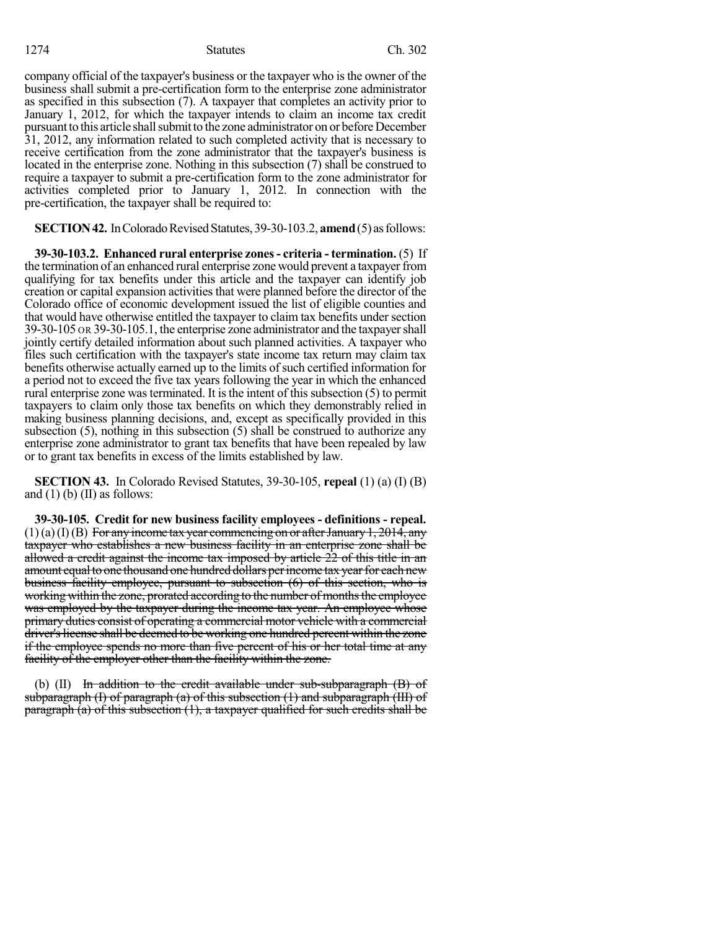1274 Statutes Ch. 302

company official of the taxpayer's business or the taxpayer who isthe owner of the business shall submit a pre-certification form to the enterprise zone administrator as specified in this subsection (7). A taxpayer that completes an activity prior to January 1, 2012, for which the taxpayer intends to claim an income tax credit pursuant to this article shall submit to the zone administrator on or before December 31, 2012, any information related to such completed activity that is necessary to receive certification from the zone administrator that the taxpayer's business is located in the enterprise zone. Nothing in this subsection (7) shall be construed to require a taxpayer to submit a pre-certification form to the zone administrator for activities completed prior to January 1, 2012. In connection with the pre-certification, the taxpayer shall be required to:

**SECTION 42.** In Colorado Revised Statutes, 39-30-103.2, **amend** (5) as follows:

**39-30-103.2. Enhanced rural enterprise zones- criteria - termination.** (5) If the termination of an enhanced rural enterprise zone would prevent a taxpayer from qualifying for tax benefits under this article and the taxpayer can identify job creation or capital expansion activities that were planned before the director of the Colorado office of economic development issued the list of eligible counties and that would have otherwise entitled the taxpayer to claim tax benefits under section 39-30-105 OR 39-30-105.1, the enterprise zone administrator and the taxpayershall jointly certify detailed information about such planned activities. A taxpayer who files such certification with the taxpayer's state income tax return may claim tax benefits otherwise actually earned up to the limits of such certified information for a period not to exceed the five tax years following the year in which the enhanced rural enterprise zone was terminated. It is the intent of this subsection  $(5)$  to permit taxpayers to claim only those tax benefits on which they demonstrably relied in making business planning decisions, and, except as specifically provided in this subsection (5), nothing in this subsection (5) shall be construed to authorize any enterprise zone administrator to grant tax benefits that have been repealed by law or to grant tax benefits in excess of the limits established by law.

**SECTION 43.** In Colorado Revised Statutes, 39-30-105, **repeal** (1) (a) (I) (B) and  $(1)$  (b)  $(II)$  as follows:

**39-30-105. Credit for new business facility employees - definitions - repeal.**  $(1)(a)(I)(B)$  For any income tax year commencing on or after January 1, 2014, any taxpayer who establishes a new business facility in an enterprise zone shall be allowed a credit against the income tax imposed by article 22 of this title in an amount equal to one thousand one hundred dollars per income tax year for each new business facility employee, pursuant to subsection (6) of this section, who is working within the zone, prorated according to the number of months the employee was employed by the taxpayer during the income tax year. An employee whose primary duties consist of operating a commercial motor vehicle with a commercial driver's license shall be deemed to be working one hundred percent within the zone if the employee spends no more than five percent of his or her total time at any facility of the employer other than the facility within the zone.

(b)  $(II)$  In addition to the credit available under sub-subparagraph  $(B)$  of subparagraph  $(I)$  of paragraph  $(a)$  of this subsection  $(1)$  and subparagraph  $(III)$  of paragraph  $\overline{a}$ ) of this subsection  $(1)$ , a taxpayer qualified for such credits shall be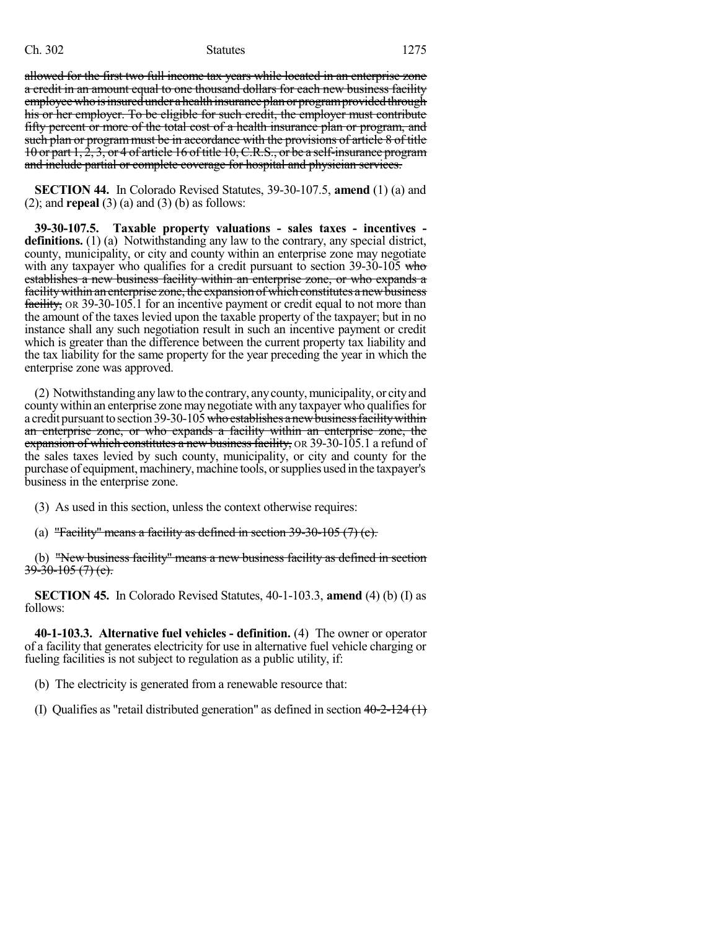### Ch. 302 Statutes 1275

allowed for the first two full income tax years while located in an enterprise zone a credit in an amount equal to one thousand dollars for each new business facility employee who is insured under a health insurance plan or program provided through his or her employer. To be eligible for such credit, the employer must contribute fifty percent or more of the total cost of a health insurance plan or program, and such plan or program must be in accordance with the provisions of article 8 of title 10 or part 1, 2, 3, or 4 of article 16 of title 10,C.R.S., or be a self-insurance program and include partial or complete coverage for hospital and physician services.

**SECTION 44.** In Colorado Revised Statutes, 39-30-107.5, **amend** (1) (a) and (2); and **repeal** (3) (a) and (3) (b) as follows:

**39-30-107.5. Taxable property valuations - sales taxes - incentives definitions.** (1) (a) Notwithstanding any law to the contrary, any special district, county, municipality, or city and county within an enterprise zone may negotiate with any taxpayer who qualifies for a credit pursuant to section  $39-30-105$  who establishes a new business facility within an enterprise zone, or who expands a facility within an enterprise zone, the expansion of which constitutes a new business facility, OR 39-30-105.1 for an incentive payment or credit equal to not more than the amount of the taxes levied upon the taxable property of the taxpayer; but in no instance shall any such negotiation result in such an incentive payment or credit which is greater than the difference between the current property tax liability and the tax liability for the same property for the year preceding the year in which the enterprise zone was approved.

(2) Notwithstanding anylawto the contrary, anycounty,municipality, or cityand county within an enterprise zone may negotiate with any taxpayer who qualifies for a credit pursuant to section 39-30-105 who establishes a new business facility within an enterprise zone, or who expands a facility within an enterprise zone, the expansion of which constitutes a new business facility,  $OR$  39-30-105.1 a refund of the sales taxes levied by such county, municipality, or city and county for the purchase of equipment, machinery, machine tools, or supplies used in the taxpayer's business in the enterprise zone.

- (3) As used in this section, unless the context otherwise requires:
- (a) "Facility" means a facility as defined in section  $39-30-105(7)$  (c).

(b) "New business facility" means a new business facility as defined in section  $39-30-105(7)$  (e).

**SECTION 45.** In Colorado Revised Statutes, 40-1-103.3, **amend** (4) (b) (I) as follows:

**40-1-103.3. Alternative fuel vehicles - definition.** (4) The owner or operator of a facility that generates electricity for use in alternative fuel vehicle charging or fueling facilities is not subject to regulation as a public utility, if:

(b) The electricity is generated from a renewable resource that:

(I) Qualifies as "retail distributed generation" as defined in section  $40-2-124$  (1)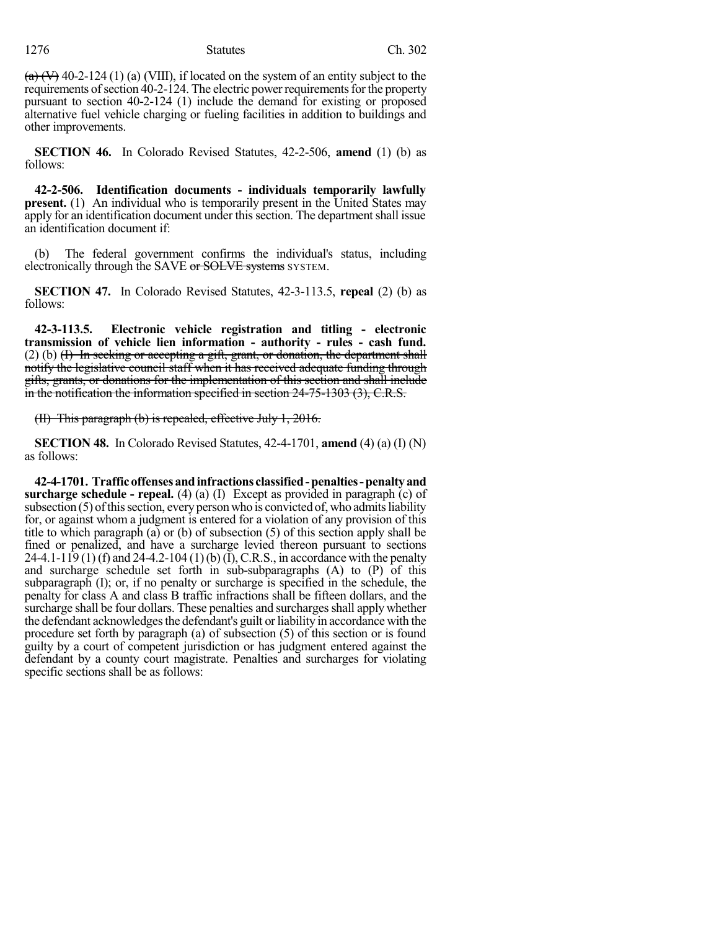$(a)$  (V) 40-2-124 (1) (a) (VIII), if located on the system of an entity subject to the requirements of section 40-2-124. The electric power requirements for the property pursuant to section 40-2-124 (1) include the demand for existing or proposed alternative fuel vehicle charging or fueling facilities in addition to buildings and other improvements.

**SECTION 46.** In Colorado Revised Statutes, 42-2-506, **amend** (1) (b) as follows:

**42-2-506. Identification documents - individuals temporarily lawfully present.** (1) An individual who is temporarily present in the United States may apply for an identification document under this section. The department shall issue an identification document if:

(b) The federal government confirms the individual's status, including electronically through the SAVE or SOLVE systems SYSTEM.

**SECTION 47.** In Colorado Revised Statutes, 42-3-113.5, **repeal** (2) (b) as follows:

**42-3-113.5. Electronic vehicle registration and titling - electronic transmission of vehicle lien information - authority - rules - cash fund.**  $(2)$  (b)  $(H)$  In seeking or accepting a gift, grant, or donation, the department shall notify the legislative council staff when it has received adequate funding through gifts, grants, or donations for the implementation of this section and shall include in the notification the information specified in section 24-75-1303 (3), C.R.S.

(II) This paragraph (b) is repealed, effective July 1, 2016.

**SECTION 48.** In Colorado Revised Statutes, 42-4-1701, **amend** (4) (a) (I) (N) as follows:

**42-4-1701. Trafficoffensesandinfractions classified-penalties-penaltyand surcharge schedule - repeal.** (4) (a) (I) Except as provided in paragraph (c) of subsection  $(5)$  of this section, every person who is convicted of, who admits liability for, or against whom a judgment is entered for a violation of any provision of this title to which paragraph (a) or (b) of subsection (5) of this section apply shall be fined or penalized, and have a surcharge levied thereon pursuant to sections 24-4.1-119 (1) (f) and 24-4.2-104 (1) (b) (I), C.R.S., in accordance with the penalty and surcharge schedule set forth in sub-subparagraphs (A) to (P) of this subparagraph (I); or, if no penalty or surcharge is specified in the schedule, the penalty for class A and class B traffic infractions shall be fifteen dollars, and the surcharge shall be four dollars. These penalties and surcharges shall apply whether the defendant acknowledges the defendant's guilt or liability in accordance with the procedure set forth by paragraph (a) of subsection (5) of this section or is found guilty by a court of competent jurisdiction or has judgment entered against the defendant by a county court magistrate. Penalties and surcharges for violating specific sections shall be as follows: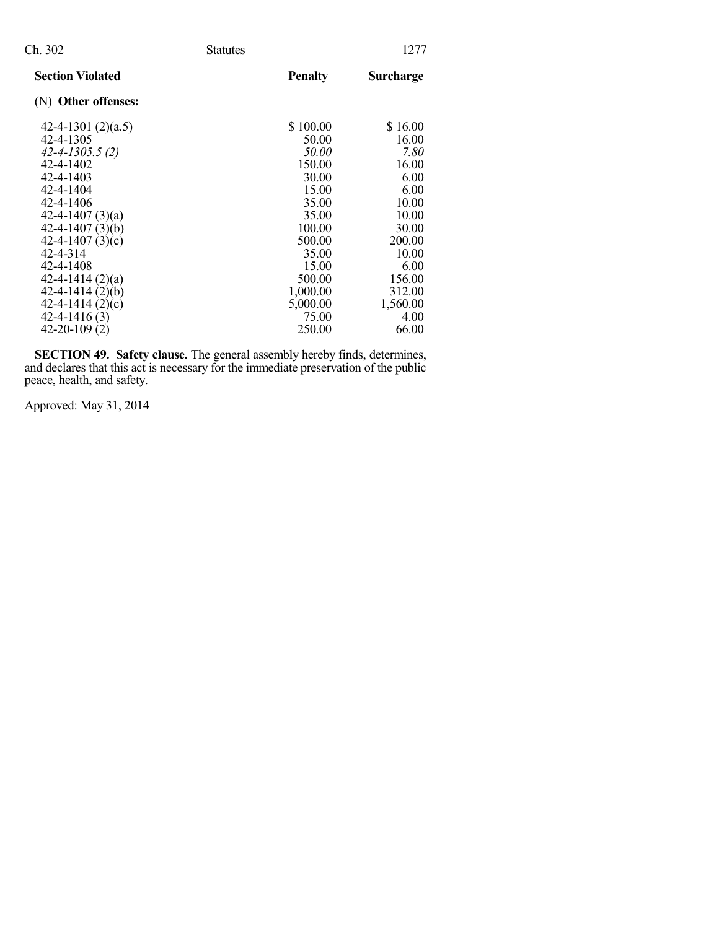| Ch. 302                                                                                                                                                                                                                              | <b>Statutes</b> |                                                                                                                          | 1277                                                                                                              |
|--------------------------------------------------------------------------------------------------------------------------------------------------------------------------------------------------------------------------------------|-----------------|--------------------------------------------------------------------------------------------------------------------------|-------------------------------------------------------------------------------------------------------------------|
| <b>Section Violated</b>                                                                                                                                                                                                              |                 | <b>Penalty</b>                                                                                                           | <b>Surcharge</b>                                                                                                  |
| (N) Other offenses:                                                                                                                                                                                                                  |                 |                                                                                                                          |                                                                                                                   |
| 42-4-1301 $(2)(a.5)$<br>42-4-1305<br>$42 - 4 - 1305.5(2)$<br>42-4-1402<br>42-4-1403<br>42-4-1404<br>42-4-1406<br>42-4-1407 $(3)(a)$<br>$42 - 4 - 1407(3)(b)$<br>42-4-1407 $(3)(c)$<br>42-4-314<br>42-4-1408<br>$42 - 4 - 1414(2)(a)$ |                 | \$100.00<br>50.00<br>50.00<br>150.00<br>30.00<br>15.00<br>35.00<br>35.00<br>100.00<br>500.00<br>35.00<br>15.00<br>500.00 | \$16.00<br>16.00<br>7.80<br>16.00<br>6.00<br>6.00<br>10.00<br>10.00<br>30.00<br>200.00<br>10.00<br>6.00<br>156.00 |
| $42 - 4 - 1414(2)(b)$<br>$42 - 4 - 1414(2)(c)$<br>$42 - 4 - 1416(3)$<br>$42 - 20 - 109(2)$                                                                                                                                           |                 | 1,000.00<br>5,000.00<br>75.00<br>250.00                                                                                  | 312.00<br>1,560.00<br>4.00<br>66.00                                                                               |

**SECTION 49. Safety clause.** The general assembly hereby finds, determines, and declares that this act is necessary for the immediate preservation of the public peace, health, and safety.

Approved: May 31, 2014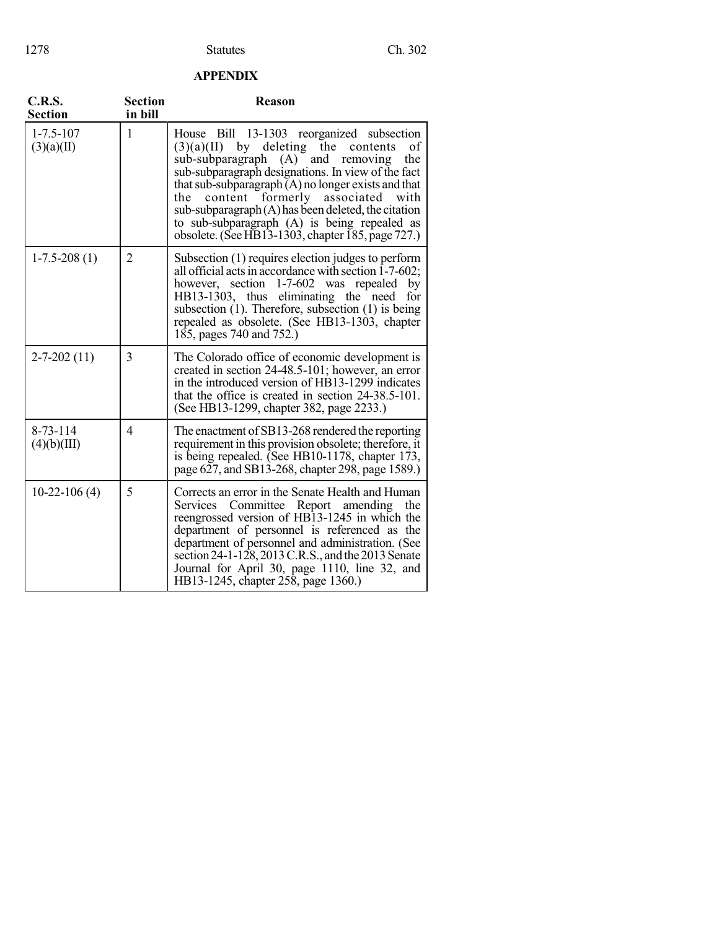### **APPENDIX**

| <b>C.R.S.</b><br><b>Section</b> | <b>Section</b><br>in bill | <b>Reason</b>                                                                                                                                                                                                                                                                                                                                                                                                                                                                      |
|---------------------------------|---------------------------|------------------------------------------------------------------------------------------------------------------------------------------------------------------------------------------------------------------------------------------------------------------------------------------------------------------------------------------------------------------------------------------------------------------------------------------------------------------------------------|
| $1 - 7.5 - 107$<br>(3)(a)(II)   | 1                         | House Bill 13-1303 reorganized subsection<br>by deleting the<br>of<br>(3)(a)(II)<br>contents<br>sub-subparagraph (A) and removing<br>the<br>sub-subparagraph designations. In view of the fact<br>that sub-subparagraph $(A)$ no longer exists and that<br>formerly associated<br>content<br>with<br>the<br>sub-subparagraph (A) has been deleted, the citation<br>to sub-subparagraph (A) is being repealed as<br>obsolete. (See HB13-1303, chapter $\overline{185}$ , page 727.) |
| $1-7.5-208(1)$                  | $\overline{2}$            | Subsection (1) requires election judges to perform<br>all official acts in accordance with section 1-7-602;<br>however, section 1-7-602 was repealed by<br>HB13-1303, thus eliminating the need<br>for<br>subsection $(1)$ . Therefore, subsection $(1)$ is being<br>repealed as obsolete. (See HB13-1303, chapter<br>185, pages 740 and 752.)                                                                                                                                     |
| $2 - 7 - 202(11)$               | 3                         | The Colorado office of economic development is<br>created in section 24-48.5-101; however, an error<br>in the introduced version of HB13-1299 indicates<br>that the office is created in section $24-38.5-101$ .<br>(See HB13-1299, chapter 382, page 2233.)                                                                                                                                                                                                                       |
| $8 - 73 - 114$<br>(4)(b)(III)   | $\overline{4}$            | The enactment of SB13-268 rendered the reporting<br>requirement in this provision obsolete; therefore, it<br>is being repealed. (See HB10-1178, chapter 173,<br>page 627, and SB13-268, chapter 298, page 1589.)                                                                                                                                                                                                                                                                   |
| $10-22-106(4)$                  | 5                         | Corrects an error in the Senate Health and Human<br>Services Committee Report amending<br>the<br>reengrossed version of HB13-1245 in which the<br>department of personnel is referenced as the<br>department of personnel and administration. (See<br>section 24-1-128, 2013 C.R.S., and the 2013 Senate<br>Journal for April 30, page 1110, line 32, and<br>HB13-1245, chapter 258, page 1360.)                                                                                   |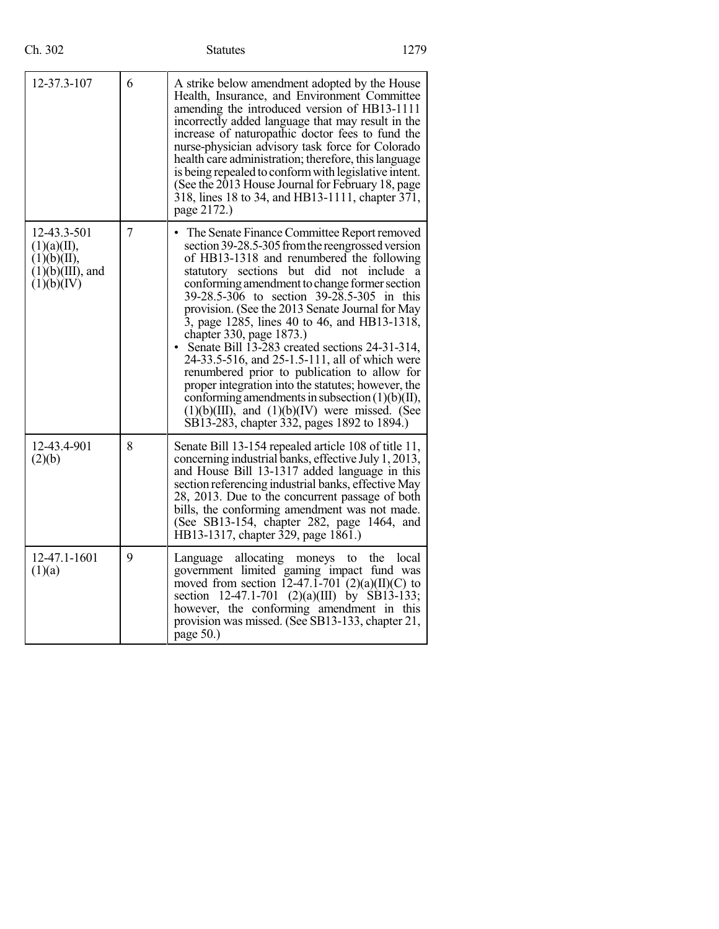| 12-37.3-107                                                                    | 6              | A strike below amendment adopted by the House<br>Health, Insurance, and Environment Committee<br>amending the introduced version of HB13-1111<br>incorrectly added language that may result in the<br>increase of naturopathic doctor fees to fund the<br>nurse-physician advisory task force for Colorado<br>health care administration; therefore, this language<br>is being repealed to conform with legislative intent.<br>(See the 2013 House Journal for February 18, page<br>318, lines 18 to 34, and HB13-1111, chapter 371,<br>page 2172.)                                                                                                                                                                                                                                                       |
|--------------------------------------------------------------------------------|----------------|-----------------------------------------------------------------------------------------------------------------------------------------------------------------------------------------------------------------------------------------------------------------------------------------------------------------------------------------------------------------------------------------------------------------------------------------------------------------------------------------------------------------------------------------------------------------------------------------------------------------------------------------------------------------------------------------------------------------------------------------------------------------------------------------------------------|
| 12-43.3-501<br>(1)(a)(II),<br>(1)(b)(II),<br>$(1)(b)(III)$ , and<br>(1)(b)(IV) | $\overline{7}$ | The Senate Finance Committee Report removed<br>section 39-28.5-305 from the reengrossed version<br>of HB13-1318 and renumbered the following<br>statutory sections but did not include<br><sub>a</sub><br>conforming amendment to change former section<br>39-28.5-306 to section 39-28.5-305 in this<br>provision. (See the 2013 Senate Journal for May<br>3, page 1285, lines 40 to 46, and HB13-1318,<br>chapter 330, page 1873.)<br>Senate Bill 13-283 created sections 24-31-314,<br>24-33.5-516, and 25-1.5-111, all of which were<br>renumbered prior to publication to allow for<br>proper integration into the statutes; however, the<br>conforming amendments in subsection $(1)(b)(II)$ ,<br>$(1)(b)(III)$ , and $(1)(b)(IV)$ were missed. (See<br>SB13-283, chapter 332, pages 1892 to 1894.) |
| 12-43.4-901<br>(2)(b)                                                          | 8              | Senate Bill 13-154 repealed article 108 of title 11,<br>concerning industrial banks, effective July 1, 2013,<br>and House Bill 13-1317 added language in this<br>section referencing industrial banks, effective May<br>28, 2013. Due to the concurrent passage of both<br>bills, the conforming amendment was not made.<br>(See SB13-154, chapter 282, page 1464, and<br>HB13-1317, chapter 329, page 1861.)                                                                                                                                                                                                                                                                                                                                                                                             |
| 12-47.1-1601<br>(1)(a)                                                         | 9              | allocating<br>the<br>local<br>Language<br>moneys<br>to<br>government limited gaming impact fund was<br>moved from section 12-47.1-701 (2)(a)(II)(C) to<br>section 12-47.1-701 (2)(a)(III) by SB13-133;<br>however, the conforming amendment in this<br>provision was missed. (See SB13-133, chapter 21,<br>page $50.$ )                                                                                                                                                                                                                                                                                                                                                                                                                                                                                   |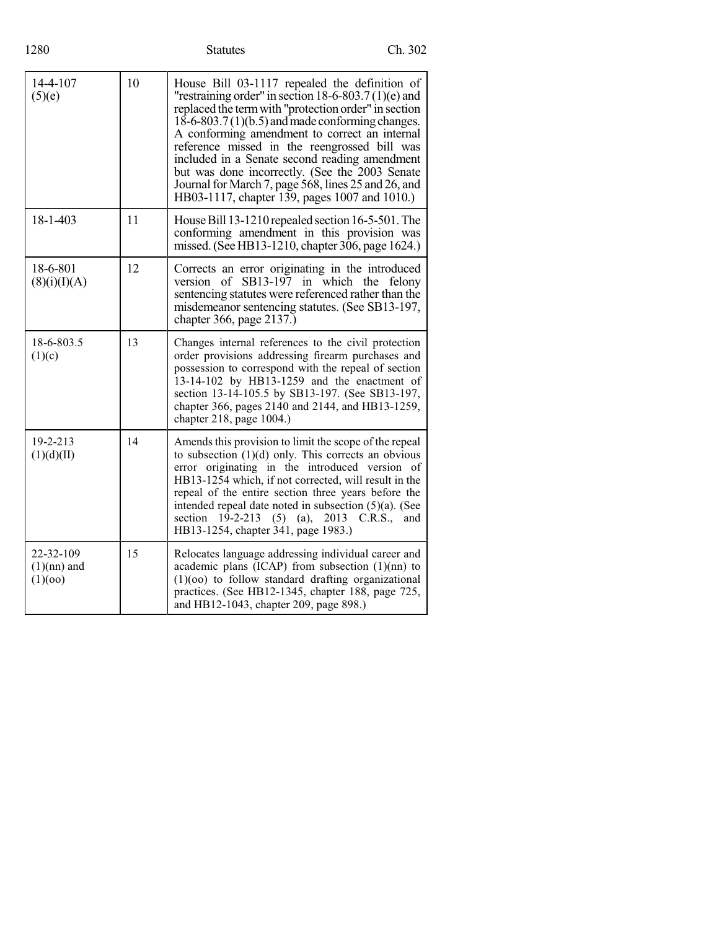| 14-4-107<br>(5)(e)                    | 10 | House Bill 03-1117 repealed the definition of<br>"restraining order" in section 18-6-803.7(1)(e) and<br>replaced the term with "protection order" in section<br>$18-6-803.7(1)(b.5)$ and made conforming changes.<br>A conforming amendment to correct an internal<br>reference missed in the reengrossed bill was<br>included in a Senate second reading amendment<br>but was done incorrectly. (See the 2003 Senate<br>Journal for March 7, page 568, lines 25 and 26, and<br>HB03-1117, chapter 139, pages 1007 and 1010.) |
|---------------------------------------|----|-------------------------------------------------------------------------------------------------------------------------------------------------------------------------------------------------------------------------------------------------------------------------------------------------------------------------------------------------------------------------------------------------------------------------------------------------------------------------------------------------------------------------------|
| 18-1-403                              | 11 | House Bill 13-1210 repealed section 16-5-501. The<br>conforming amendment in this provision was<br>missed. (See HB13-1210, chapter 306, page 1624.)                                                                                                                                                                                                                                                                                                                                                                           |
| 18-6-801<br>(8)(i)(I)(A)              | 12 | Corrects an error originating in the introduced<br>version of SB13-197 in which the felony<br>sentencing statutes were referenced rather than the<br>misdemeanor sentencing statutes. (See SB13-197,<br>chapter 366, page 2137.)                                                                                                                                                                                                                                                                                              |
| 18-6-803.5<br>(1)(c)                  | 13 | Changes internal references to the civil protection<br>order provisions addressing firearm purchases and<br>possession to correspond with the repeal of section<br>13-14-102 by HB13-1259 and the enactment of<br>section 13-14-105.5 by SB13-197. (See SB13-197,<br>chapter 366, pages 2140 and 2144, and HB13-1259,<br>chapter 218, page 1004.)                                                                                                                                                                             |
| 19-2-213<br>(1)(d)(II)                | 14 | Amends this provision to limit the scope of the repeal<br>to subsection $(1)(d)$ only. This corrects an obvious<br>error originating in the introduced version of<br>HB13-1254 which, if not corrected, will result in the<br>repeal of the entire section three years before the<br>intended repeal date noted in subsection $(5)(a)$ . (See<br>section<br>$19-2-213$ (5) (a),<br>2013 C.R.S.,<br>and<br>HB13-1254, chapter 341, page 1983.)                                                                                 |
| 22-32-109<br>$(1)(nn)$ and<br>(1)(00) | 15 | Relocates language addressing individual career and<br>academic plans (ICAP) from subsection $(1)(nn)$ to<br>$(1)(oo)$ to follow standard drafting organizational<br>practices. (See HB12-1345, chapter 188, page 725,<br>and HB12-1043, chapter 209, page 898.)                                                                                                                                                                                                                                                              |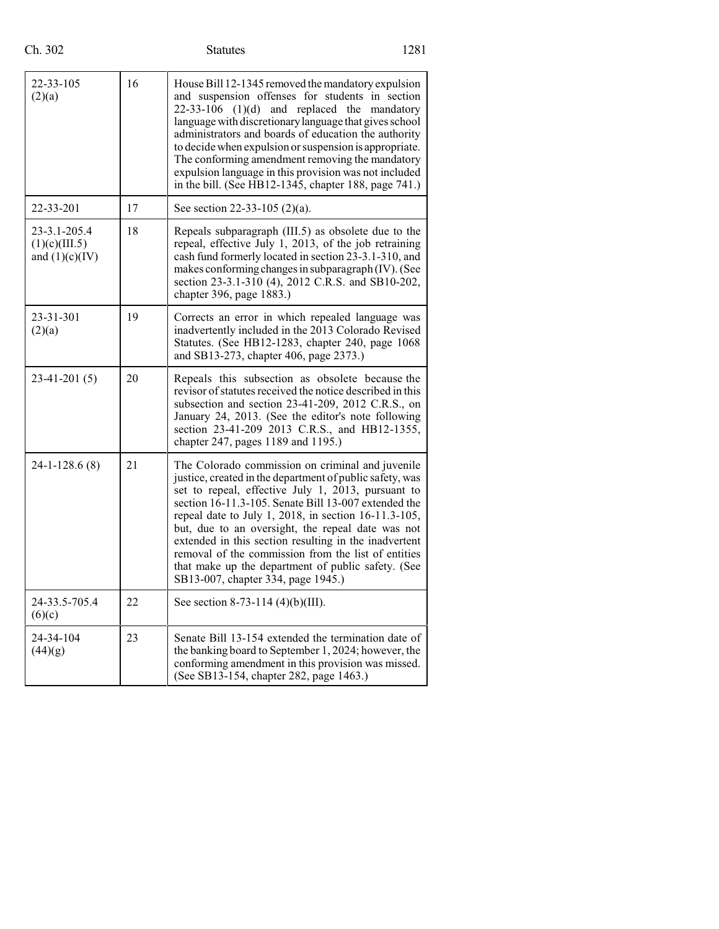## Ch. 302 Statutes 1281

| 22-33-105<br>(2)(a)                               | 16 | House Bill 12-1345 removed the mandatory expulsion<br>and suspension offenses for students in section<br>$22-33-106$ (1)(d) and replaced the<br>mandatory<br>language with discretionary language that gives school<br>administrators and boards of education the authority<br>to decide when expulsion or suspension is appropriate.<br>The conforming amendment removing the mandatory<br>expulsion language in this provision was not included<br>in the bill. (See HB12-1345, chapter 188, page 741.)                                           |
|---------------------------------------------------|----|-----------------------------------------------------------------------------------------------------------------------------------------------------------------------------------------------------------------------------------------------------------------------------------------------------------------------------------------------------------------------------------------------------------------------------------------------------------------------------------------------------------------------------------------------------|
| 22-33-201                                         | 17 | See section 22-33-105 (2)(a).                                                                                                                                                                                                                                                                                                                                                                                                                                                                                                                       |
| 23-3.1-205.4<br>(1)(c)(III.5)<br>and $(1)(c)(IV)$ | 18 | Repeals subparagraph (III.5) as obsolete due to the<br>repeal, effective July 1, 2013, of the job retraining<br>cash fund formerly located in section 23-3.1-310, and<br>makes conforming changes in subparagraph (IV). (See<br>section 23-3.1-310 (4), 2012 C.R.S. and SB10-202,<br>chapter 396, page 1883.)                                                                                                                                                                                                                                       |
| 23-31-301<br>(2)(a)                               | 19 | Corrects an error in which repealed language was<br>inadvertently included in the 2013 Colorado Revised<br>Statutes. (See HB12-1283, chapter 240, page 1068<br>and SB13-273, chapter 406, page 2373.)                                                                                                                                                                                                                                                                                                                                               |
| $23-41-201(5)$                                    | 20 | Repeals this subsection as obsolete because the<br>revisor of statutes received the notice described in this<br>subsection and section 23-41-209, 2012 C.R.S., on<br>January 24, 2013. (See the editor's note following<br>section 23-41-209 2013 C.R.S., and HB12-1355,<br>chapter 247, pages 1189 and 1195.)                                                                                                                                                                                                                                      |
| $24-1-128.6(8)$                                   | 21 | The Colorado commission on criminal and juvenile<br>justice, created in the department of public safety, was<br>set to repeal, effective July 1, 2013, pursuant to<br>section 16-11.3-105. Senate Bill 13-007 extended the<br>repeal date to July 1, 2018, in section 16-11.3-105,<br>but, due to an oversight, the repeal date was not<br>extended in this section resulting in the inadvertent<br>removal of the commission from the list of entities<br>that make up the department of public safety. (See<br>SB13-007, chapter 334, page 1945.) |
| 24-33.5-705.4<br>(6)(c)                           | 22 | See section 8-73-114 (4)(b)(III).                                                                                                                                                                                                                                                                                                                                                                                                                                                                                                                   |
| 24-34-104<br>(44)(g)                              | 23 | Senate Bill 13-154 extended the termination date of<br>the banking board to September 1, 2024; however, the<br>conforming amendment in this provision was missed.<br>(See SB13-154, chapter 282, page 1463.)                                                                                                                                                                                                                                                                                                                                        |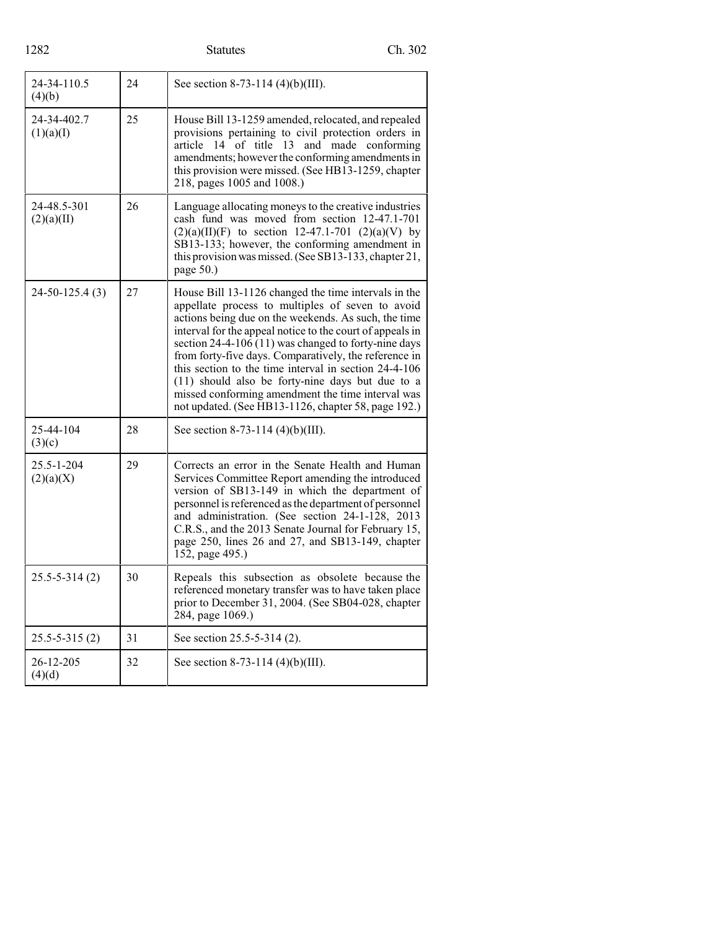# Statutes Ch. 302

| 24-34-110.5<br>(4)(b)     | 24 | See section 8-73-114 (4)(b)(III).                                                                                                                                                                                                                                                                                                                                                                                                                                                                                                                                          |
|---------------------------|----|----------------------------------------------------------------------------------------------------------------------------------------------------------------------------------------------------------------------------------------------------------------------------------------------------------------------------------------------------------------------------------------------------------------------------------------------------------------------------------------------------------------------------------------------------------------------------|
| 24-34-402.7<br>(1)(a)(I)  | 25 | House Bill 13-1259 amended, relocated, and repealed<br>provisions pertaining to civil protection orders in<br>article 14 of title 13 and made conforming<br>amendments; however the conforming amendments in<br>this provision were missed. (See HB13-1259, chapter<br>218, pages 1005 and 1008.)                                                                                                                                                                                                                                                                          |
| 24-48.5-301<br>(2)(a)(II) | 26 | Language allocating moneys to the creative industries<br>cash fund was moved from section 12-47.1-701<br>$(2)(a)(II)(F)$ to section 12-47.1-701 $(2)(a)(V)$ by<br>SB13-133; however, the conforming amendment in<br>this provision was missed. (See SB13-133, chapter 21,<br>page 50.)                                                                                                                                                                                                                                                                                     |
| $24-50-125.4(3)$          | 27 | House Bill 13-1126 changed the time intervals in the<br>appellate process to multiples of seven to avoid<br>actions being due on the weekends. As such, the time<br>interval for the appeal notice to the court of appeals in<br>section $24-4-106(11)$ was changed to forty-nine days<br>from forty-five days. Comparatively, the reference in<br>this section to the time interval in section 24-4-106<br>$(11)$ should also be forty-nine days but due to a<br>missed conforming amendment the time interval was<br>not updated. (See HB13-1126, chapter 58, page 192.) |
| 25-44-104<br>(3)(c)       | 28 | See section 8-73-114 (4)(b)(III).                                                                                                                                                                                                                                                                                                                                                                                                                                                                                                                                          |
| 25.5-1-204<br>(2)(a)(X)   | 29 | Corrects an error in the Senate Health and Human<br>Services Committee Report amending the introduced<br>version of SB13-149 in which the department of<br>personnel is referenced as the department of personnel<br>and administration. (See section 24-1-128, 2013<br>C.R.S., and the 2013 Senate Journal for February 15,<br>page 250, lines 26 and 27, and SB13-149, chapter<br>152, page 495.)                                                                                                                                                                        |
| $25.5 - 5 - 314(2)$       | 30 | Repeals this subsection as obsolete because the<br>referenced monetary transfer was to have taken place<br>prior to December 31, 2004. (See SB04-028, chapter<br>284, page 1069.)                                                                                                                                                                                                                                                                                                                                                                                          |
| $25.5 - 5 - 315(2)$       | 31 | See section 25.5-5-314 (2).                                                                                                                                                                                                                                                                                                                                                                                                                                                                                                                                                |
| 26-12-205<br>(4)(d)       | 32 | See section 8-73-114 $(4)(b)(III)$ .                                                                                                                                                                                                                                                                                                                                                                                                                                                                                                                                       |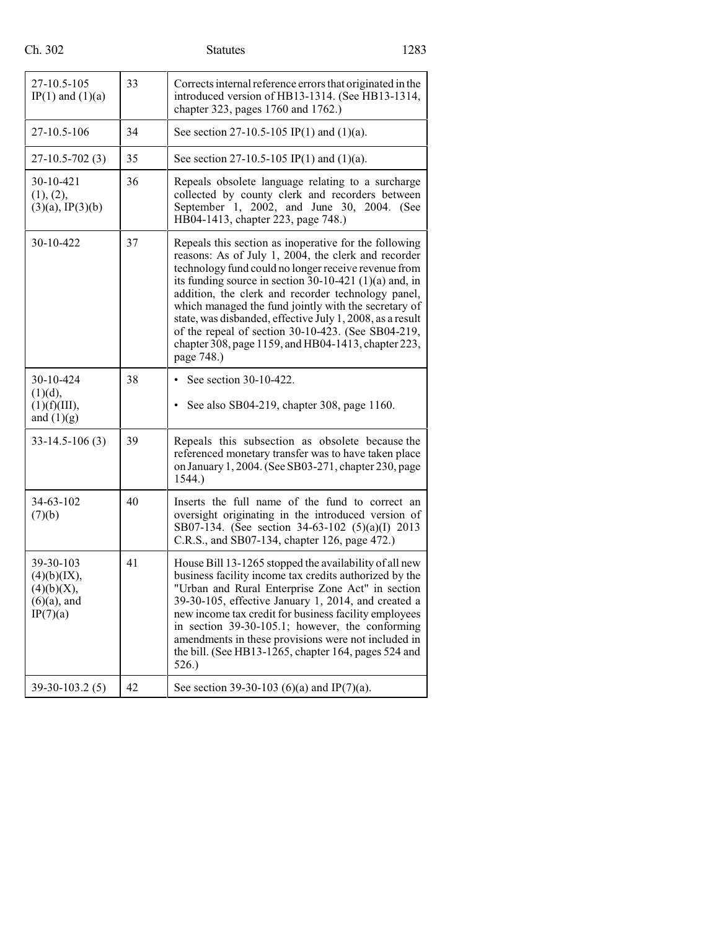## Ch. 302 Statutes 1283

| 27-10.5-105<br>IP(1) and $(1)(a)$                                    | 33 | Corrects internal reference errors that originated in the<br>introduced version of HB13-1314. (See HB13-1314,<br>chapter 323, pages 1760 and 1762.)                                                                                                                                                                                                                                                                                                                                                                                    |
|----------------------------------------------------------------------|----|----------------------------------------------------------------------------------------------------------------------------------------------------------------------------------------------------------------------------------------------------------------------------------------------------------------------------------------------------------------------------------------------------------------------------------------------------------------------------------------------------------------------------------------|
| 27-10.5-106                                                          | 34 | See section 27-10.5-105 IP(1) and (1)(a).                                                                                                                                                                                                                                                                                                                                                                                                                                                                                              |
| $27-10.5-702(3)$                                                     | 35 | See section 27-10.5-105 IP(1) and (1)(a).                                                                                                                                                                                                                                                                                                                                                                                                                                                                                              |
| 30-10-421<br>(1), (2),<br>$(3)(a)$ , IP $(3)(b)$                     | 36 | Repeals obsolete language relating to a surcharge<br>collected by county clerk and recorders between<br>September 1, 2002, and June 30, 2004. (See<br>HB04-1413, chapter 223, page 748.)                                                                                                                                                                                                                                                                                                                                               |
| 30-10-422                                                            | 37 | Repeals this section as inoperative for the following<br>reasons: As of July 1, 2004, the clerk and recorder<br>technology fund could no longer receive revenue from<br>its funding source in section $30-10-421$ (1)(a) and, in<br>addition, the clerk and recorder technology panel,<br>which managed the fund jointly with the secretary of<br>state, was disbanded, effective July 1, 2008, as a result<br>of the repeal of section 30-10-423. (See SB04-219,<br>chapter 308, page 1159, and HB04-1413, chapter 223,<br>page 748.) |
| 30-10-424<br>(1)(d),<br>(1)(f)(III),<br>and $(1)(g)$                 | 38 | See section 30-10-422.<br>See also SB04-219, chapter 308, page 1160.<br>$\bullet$                                                                                                                                                                                                                                                                                                                                                                                                                                                      |
| $33-14.5-106(3)$                                                     | 39 | Repeals this subsection as obsolete because the<br>referenced monetary transfer was to have taken place<br>on January 1, 2004. (See SB03-271, chapter 230, page<br>1544.)                                                                                                                                                                                                                                                                                                                                                              |
| 34-63-102<br>(7)(b)                                                  | 40 | Inserts the full name of the fund to correct an<br>oversight originating in the introduced version of<br>SB07-134. (See section 34-63-102 (5)(a)(I) 2013<br>C.R.S., and SB07-134, chapter 126, page 472.)                                                                                                                                                                                                                                                                                                                              |
| 39-30-103<br>(4)(b)(IX),<br>(4)(b)(X),<br>$(6)(a)$ , and<br>IP(7)(a) | 41 | House Bill 13-1265 stopped the availability of all new<br>business facility income tax credits authorized by the<br>"Urban and Rural Enterprise Zone Act" in section<br>39-30-105, effective January 1, 2014, and created a<br>new income tax credit for business facility employees<br>in section 39-30-105.1; however, the conforming<br>amendments in these provisions were not included in<br>the bill. (See HB13-1265, chapter 164, pages 524 and<br>526.)                                                                        |
| 39-30-103.2 (5)                                                      | 42 | See section 39-30-103 (6)(a) and IP(7)(a).                                                                                                                                                                                                                                                                                                                                                                                                                                                                                             |